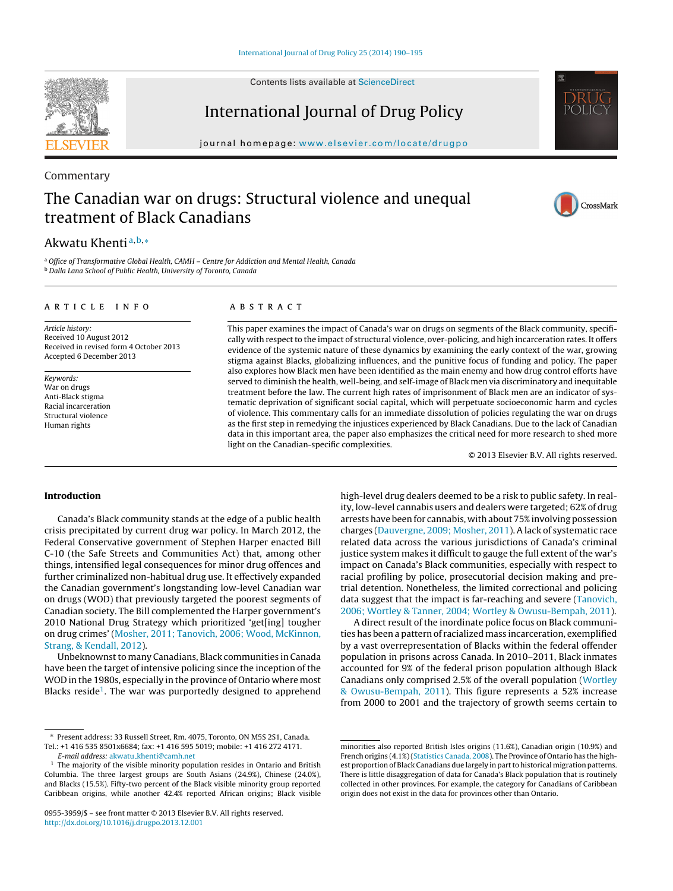Contents lists available at [ScienceDirect](http://www.sciencedirect.com/science/journal/09553959)

International Journal of Drug Policy

journal homepage: [www.elsevier.com/locate/drugpo](http://www.elsevier.com/locate/drugpo)

# Commentary The Canadian war on drugs: Structural violence and unequal treatment of Black Canadians

# Akwatu Khenti<sup>a,b,</sup>\*

a Office of Transformative Global Health, CAMH - Centre for Addiction and Mental Health, Canada <sup>b</sup> Dalla Lana School of Public Health, University of Toronto, Canada

### a r t i c l e i n f o

Article history: Received 10 August 2012 Received in revised form 4 October 2013 Accepted 6 December 2013

Keywords: War on drugs Anti-Black stigma Racial incarceration Structural violence Human rights

#### A B S T R A C T

This paper examines the impact of Canada's war on drugs on segments of the Black community, specifically with respect to the impact of structural violence, over-policing, and high incarceration rates. It offers evidence of the systemic nature of these dynamics by examining the early context of the war, growing stigma against Blacks, globalizing influences, and the punitive focus of funding and policy. The paper also explores how Black men have been identified as the main enemy and how drug control efforts have served to diminish the health, well-being, and self-image of Black men via discriminatory and inequitable treatment before the law. The current high rates of imprisonment of Black men are an indicator of systematic deprivation of significant social capital, which will perpetuate socioeconomic harm and cycles of violence. This commentary calls for an immediate dissolution of policies regulating the war on drugs as the first step in remedying the injustices experienced by Black Canadians. Due to the lack of Canadian data in this important area, the paper also emphasizes the critical need for more research to shed more light on the Canadian-specific complexities.

© 2013 Elsevier B.V. All rights reserved.

## **Introduction**

Canada's Black community stands at the edge of a public health crisis precipitated by current drug war policy. In March 2012, the Federal Conservative government of Stephen Harper enacted Bill C-10 (the Safe Streets and Communities Act) that, among other things, intensified legal consequences for minor drug offences and further criminalized non-habitual drug use. It effectively expanded the Canadian government's longstanding low-level Canadian war on drugs (WOD) that previously targeted the poorest segments of Canadian society. The Bill complemented the Harper government's 2010 National Drug Strategy which prioritized 'get[ing] tougher on drug crimes' ([Mosher,](#page-4-0) [2011;](#page-4-0) [Tanovich,](#page-4-0) [2006;](#page-4-0) [Wood,](#page-4-0) [McKinnon,](#page-4-0) [Strang,](#page-4-0) [&](#page-4-0) [Kendall,](#page-4-0) [2012\).](#page-4-0)

Unbeknownst to many Canadians, Black communities in Canada have been the target of intensive policing since the inception of the WOD in the 1980s, especially in the province of Ontario where most Blacks reside<sup>1</sup>. The war was purportedly designed to apprehend

E-mail address: akwatu [khenti@camh.net](mailto:akwatu_khenti@camh.net)

high-level drug dealers deemed to be a risk to public safety. In reality, low-level cannabis users and dealers were targeted; 62% of drug arrests have been for cannabis, with about 75%involving possession charges [\(Dauvergne,](#page-4-0) [2009;](#page-4-0) [Mosher,](#page-4-0) [2011\).](#page-4-0) A lack of systematic race related data across the various jurisdictions of Canada's criminal justice system makes it difficult to gauge the full extent of the war's impact on Canada's Black communities, especially with respect to racial profiling by police, prosecutorial decision making and pretrial detention. Nonetheless, the limited correctional and policing data suggest that the impact is far-reaching and severe [\(Tanovich,](#page-5-0) [2006;](#page-5-0) [Wortley](#page-5-0) [&](#page-5-0) [Tanner,](#page-5-0) [2004;](#page-5-0) [Wortley](#page-5-0) [&](#page-5-0) [Owusu-Bempah,](#page-5-0) [2011\).](#page-5-0)

A direct result of the inordinate police focus on Black communities has been a pattern of racialized mass incarceration, exemplified by a vast overrepresentation of Blacks within the federal offender population in prisons across Canada. In 2010–2011, Black inmates accounted for 9% of the federal prison population although Black Canadians only comprised 2.5% of the overall population ([Wortley](#page-5-0) [&](#page-5-0) [Owusu-Bempah,](#page-5-0) [2011\).](#page-5-0) This figure represents a 52% increase from 2000 to 2001 and the trajectory of growth seems certain to







<sup>∗</sup> Present address: 33 Russell Street, Rm. 4075, Toronto, ON M5S 2S1, Canada. Tel.: +1 416 535 8501x6684; fax: +1 416 595 5019; mobile: +1 416 272 4171.

 $1$  The majority of the visible minority population resides in Ontario and British Columbia. The three largest groups are South Asians (24.9%), Chinese (24.0%), and Blacks (15.5%). Fifty-two percent of the Black visible minority group reported Caribbean origins, while another 42.4% reported African origins; Black visible

<sup>0955-3959/\$</sup> – see front matter © 2013 Elsevier B.V. All rights reserved. [http://dx.doi.org/10.1016/j.drugpo.2013.12.001](dx.doi.org/10.1016/j.drugpo.2013.12.001)

minorities also reported British Isles origins (11.6%), Canadian origin (10.9%) and French origins (4.1%) ([Statistics](#page-4-0) [Canada,](#page-4-0) [2008\).](#page-4-0) The Province of Ontario has the highest proportion of Black Canadians due largely in part to historical migration patterns. There is little disaggregation of data for Canada's Black population that is routinely collected in other provinces. For example, the category for Canadians of Caribbean origin does not exist in the data for provinces other than Ontario.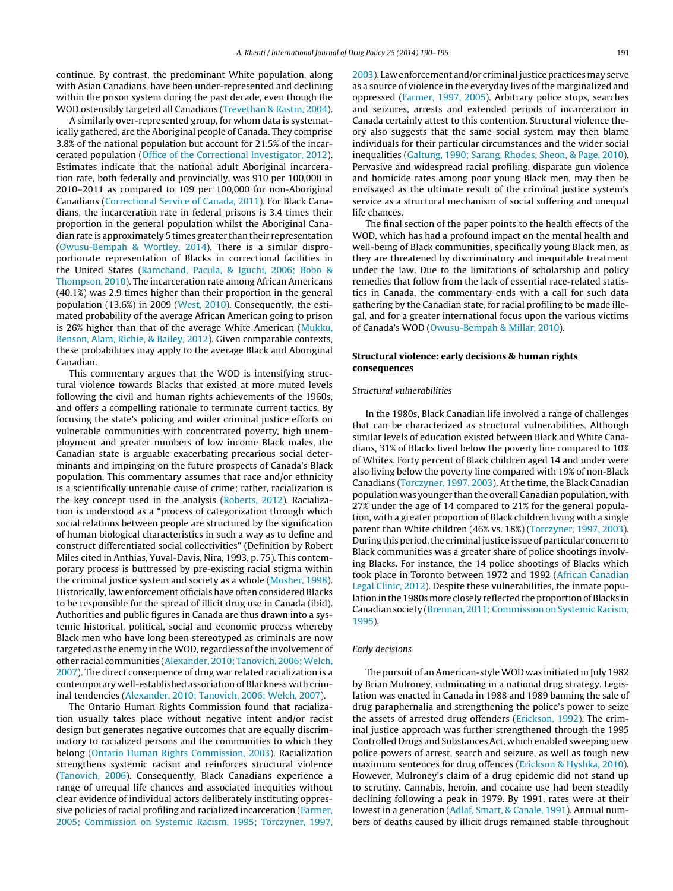continue. By contrast, the predominant White population, along with Asian Canadians, have been under-represented and declining within the prison system during the past decade, even though the WOD ostensibly targeted all Canadians ([Trevethan](#page-5-0) [&](#page-5-0) [Rastin,](#page-5-0) [2004\).](#page-5-0)

A similarly over-represented group, for whom data is systematically gathered, are the Aboriginal people of Canada. They comprise 3.8% of the national population but account for 21.5% of the incarcerated population ([Office](#page-4-0) [of](#page-4-0) [the](#page-4-0) [Correctional](#page-4-0) [Investigator,](#page-4-0) [2012\).](#page-4-0) Estimates indicate that the national adult Aboriginal incarceration rate, both federally and provincially, was 910 per 100,000 in 2010–2011 as compared to 109 per 100,000 for non-Aboriginal Canadians [\(Correctional](#page-4-0) [Service](#page-4-0) [of](#page-4-0) [Canada,](#page-4-0) [2011\).](#page-4-0) For Black Canadians, the incarceration rate in federal prisons is 3.4 times their proportion in the general population whilst the Aboriginal Canadian rate is approximately 5 times greater than their representation ([Owusu-Bempah](#page-4-0) [&](#page-4-0) [Wortley,](#page-4-0) [2014\).](#page-4-0) There is a similar disproportionate representation of Blacks in correctional facilities in the United States [\(Ramchand,](#page-4-0) [Pacula,](#page-4-0) [&](#page-4-0) [Iguchi,](#page-4-0) [2006;](#page-4-0) [Bobo](#page-4-0) [&](#page-4-0) [Thompson,](#page-4-0) [2010\).](#page-4-0) The incarceration rate among African Americans (40.1%) was 2.9 times higher than their proportion in the general population (13.6%) in 2009 [\(West,](#page-5-0) [2010\).](#page-5-0) Consequently, the estimated probability of the average African American going to prison is 26% higher than that of the average White American [\(Mukku,](#page-4-0) [Benson,](#page-4-0) [Alam,](#page-4-0) [Richie,](#page-4-0) [&](#page-4-0) [Bailey,](#page-4-0) [2012\).](#page-4-0) Given comparable contexts, these probabilities may apply to the average Black and Aboriginal Canadian.

This commentary argues that the WOD is intensifying structural violence towards Blacks that existed at more muted levels following the civil and human rights achievements of the 1960s, and offers a compelling rationale to terminate current tactics. By focusing the state's policing and wider criminal justice efforts on vulnerable communities with concentrated poverty, high unemployment and greater numbers of low income Black males, the Canadian state is arguable exacerbating precarious social determinants and impinging on the future prospects of Canada's Black population. This commentary assumes that race and/or ethnicity is a scientifically untenable cause of crime; rather, racialization is the key concept used in the analysis ([Roberts,](#page-4-0) [2012\).](#page-4-0) Racialization is understood as a "process of categorization through which social relations between people are structured by the signification of human biological characteristics in such a way as to define and construct differentiated social collectivities" (Definition by Robert Miles cited in Anthias, Yuval-Davis, Nira, 1993, p. 75). This contemporary process is buttressed by pre-existing racial stigma within the criminal justice system and society as a whole [\(Mosher,](#page-4-0) [1998\).](#page-4-0) Historically, law enforcement officials have often considered Blacks to be responsible for the spread of illicit drug use in Canada (ibid). Authorities and public figures in Canada are thus drawn into a systemic historical, political, social and economic process whereby Black men who have long been stereotyped as criminals are now targeted as the enemy in the WOD, regardless of the involvement of other racial communities [\(Alexander,](#page-4-0) [2010;](#page-4-0) [Tanovich,](#page-4-0) 2006; Welch, [2007\).](#page-4-0) The direct consequence of drug war related racialization is a contemporary well-established association of Blackness with criminal tendencies ([Alexander,](#page-4-0) [2010;](#page-4-0) [Tanovich,](#page-4-0) [2006;](#page-4-0) [Welch,](#page-4-0) [2007\).](#page-4-0)

The Ontario Human Rights Commission found that racialization usually takes place without negative intent and/or racist design but generates negative outcomes that are equally discriminatory to racialized persons and the communities to which they belong ([Ontario](#page-4-0) [Human](#page-4-0) [Rights](#page-4-0) [Commission,](#page-4-0) [2003\).](#page-4-0) Racialization strengthens systemic racism and reinforces structural violence ([Tanovich,](#page-5-0) [2006\).](#page-5-0) Consequently, Black Canadians experience a range of unequal life chances and associated inequities without clear evidence of individual actors deliberately instituting oppressive policies of racial profiling and racialized incarceration ([Farmer,](#page-4-0) [2005;](#page-4-0) [Commission](#page-4-0) [on](#page-4-0) [Systemic](#page-4-0) [Racism,](#page-4-0) [1995;](#page-4-0) [Torczyner,](#page-4-0) [1997,](#page-4-0)

[2003\).](#page-4-0) Law enforcement and/or criminal justice practices may serve as a source of violence in the everyday lives of the marginalized and oppressed ([Farmer,](#page-4-0) [1997,](#page-4-0) [2005\).](#page-4-0) Arbitrary police stops, searches and seizures, arrests and extended periods of incarceration in Canada certainly attest to this contention. Structural violence theory also suggests that the same social system may then blame individuals for their particular circumstances and the wider social inequalities [\(Galtung,](#page-4-0) [1990;](#page-4-0) [Sarang,](#page-4-0) [Rhodes,](#page-4-0) [Sheon,](#page-4-0) [&](#page-4-0) [Page,](#page-4-0) [2010\).](#page-4-0) Pervasive and widespread racial profiling, disparate gun violence and homicide rates among poor young Black men, may then be envisaged as the ultimate result of the criminal justice system's service as a structural mechanism of social suffering and unequal life chances.

The final section of the paper points to the health effects of the WOD, which has had a profound impact on the mental health and well-being of Black communities, specifically young Black men, as they are threatened by discriminatory and inequitable treatment under the law. Due to the limitations of scholarship and policy remedies that follow from the lack of essential race-related statistics in Canada, the commentary ends with a call for such data gathering by the Canadian state, for racial profiling to be made illegal, and for a greater international focus upon the various victims of Canada's WOD ([Owusu-Bempah](#page-4-0) [&](#page-4-0) [Millar,](#page-4-0) [2010\).](#page-4-0)

#### **Structural violence: early decisions & human rights consequences**

#### Structural vulnerabilities

In the 1980s, Black Canadian life involved a range of challenges that can be characterized as structural vulnerabilities. Although similar levels of education existed between Black and White Canadians, 31% of Blacks lived below the poverty line compared to 10% of Whites. Forty percent of Black children aged 14 and under were also living below the poverty line compared with 19% of non-Black Canadians [\(Torczyner,](#page-5-0) [1997,](#page-5-0) [2003\).](#page-5-0) At the time, the Black Canadian population was younger than the overall Canadian population, with 27% under the age of 14 compared to 21% for the general population, with a greater proportion of Black children living with a single parent than White children (46% vs. 18%) [\(Torczyner,](#page-5-0) [1997,](#page-5-0) [2003\).](#page-5-0) During this period, the criminal justice issue of particular concern to Black communities was a greater share of police shootings involving Blacks. For instance, the 14 police shootings of Blacks which took place in Toronto between 1972 and 1992 [\(African](#page-4-0) [Canadian](#page-4-0) [Legal](#page-4-0) [Clinic,](#page-4-0) [2012\).](#page-4-0) Despite these vulnerabilities, the inmate population in the 1980s more closely reflected the proportion of Blacks in Canadian society [\(Brennan,](#page-4-0) [2011;](#page-4-0) [Commission](#page-4-0) [on](#page-4-0) [Systemic](#page-4-0) [Racism,](#page-4-0) [1995\).](#page-4-0)

#### Early decisions

The pursuit of an American-styleWOD was initiated in July 1982 by Brian Mulroney, culminating in a national drug strategy. Legislation was enacted in Canada in 1988 and 1989 banning the sale of drug paraphernalia and strengthening the police's power to seize the assets of arrested drug offenders [\(Erickson,](#page-4-0) [1992\).](#page-4-0) The criminal justice approach was further strengthened through the 1995 Controlled Drugs and Substances Act, which enabled sweeping new police powers of arrest, search and seizure, as well as tough new maximum sentences for drug offences [\(Erickson](#page-4-0) [&](#page-4-0) [Hyshka,](#page-4-0) [2010\).](#page-4-0) However, Mulroney's claim of a drug epidemic did not stand up to scrutiny. Cannabis, heroin, and cocaine use had been steadily declining following a peak in 1979. By 1991, rates were at their lowest in a generation ([Adlaf,](#page-4-0) [Smart,](#page-4-0) [&](#page-4-0) [Canale,](#page-4-0) [1991\).](#page-4-0) Annual numbers of deaths caused by illicit drugs remained stable throughout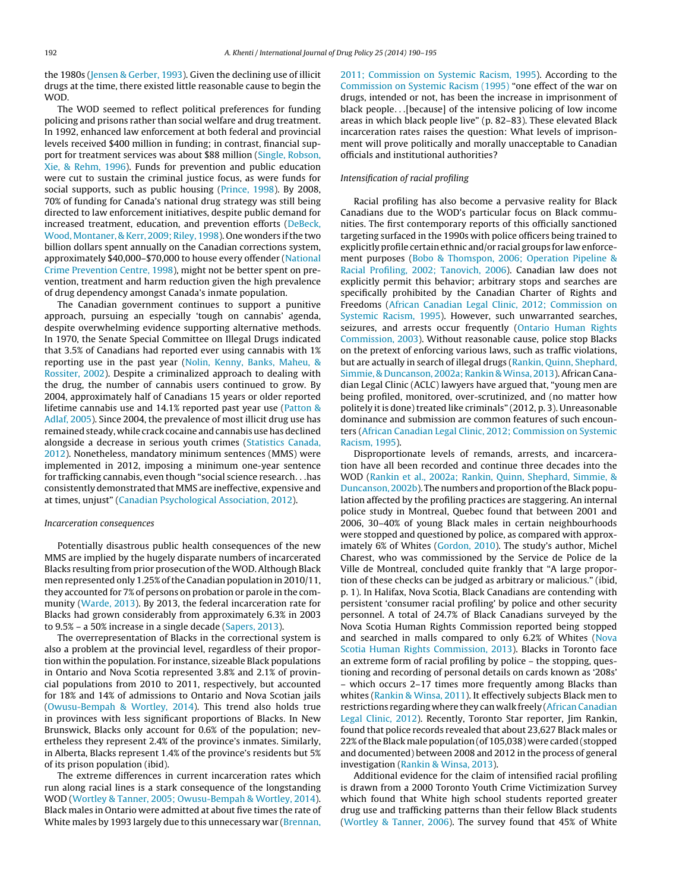the 1980s [\(Jensen](#page-4-0) [&](#page-4-0) [Gerber,](#page-4-0) [1993\).](#page-4-0) Given the declining use of illicit drugs at the time, there existed little reasonable cause to begin the WOD.

The WOD seemed to reflect political preferences for funding policing and prisons rather than social welfare and drug treatment. In 1992, enhanced law enforcement at both federal and provincial levels received \$400 million in funding; in contrast, financial support for treatment services was about \$88 million [\(Single,](#page-4-0) [Robson,](#page-4-0) [Xie,](#page-4-0) [&](#page-4-0) [Rehm,](#page-4-0) [1996\).](#page-4-0) Funds for prevention and public education were cut to sustain the criminal justice focus, as were funds for social supports, such as public housing [\(Prince,](#page-4-0) [1998\).](#page-4-0) By 2008, 70% of funding for Canada's national drug strategy was still being directed to law enforcement initiatives, despite public demand for increased treatment, education, and prevention efforts [\(DeBeck,](#page-4-0) [Wood,](#page-4-0) [Montaner,](#page-4-0) [&](#page-4-0) [Kerr,](#page-4-0) [2009;](#page-4-0) [Riley,](#page-4-0) [1998\).](#page-4-0) One wonders ifthe two billion dollars spent annually on the Canadian corrections system, approximately \$40,000–\$70,000 to house every offender ([National](#page-4-0) [Crime](#page-4-0) [Prevention](#page-4-0) [Centre,](#page-4-0) [1998\),](#page-4-0) might not be better spent on prevention, treatment and harm reduction given the high prevalence of drug dependency amongst Canada's inmate population.

The Canadian government continues to support a punitive approach, pursuing an especially 'tough on cannabis' agenda, despite overwhelming evidence supporting alternative methods. In 1970, the Senate Special Committee on Illegal Drugs indicated that 3.5% of Canadians had reported ever using cannabis with 1% reporting use in the past year [\(Nolin,](#page-4-0) [Kenny,](#page-4-0) [Banks,](#page-4-0) [Maheu,](#page-4-0) [&](#page-4-0) [Rossiter,](#page-4-0) [2002\).](#page-4-0) Despite a criminalized approach to dealing with the drug, the number of cannabis users continued to grow. By 2004, approximately half of Canadians 15 years or older reported lifetime cannabis use and 14.1% reported past year use [\(Patton](#page-4-0) [&](#page-4-0) [Adlaf,](#page-4-0) [2005\).](#page-4-0) Since 2004, the prevalence of most illicit drug use has remained steady, while crack cocaine and cannabis usehas declined alongside a decrease in serious youth crimes ([Statistics](#page-5-0) [Canada,](#page-5-0) [2012\).](#page-5-0) Nonetheless, mandatory minimum sentences (MMS) were implemented in 2012, imposing a minimum one-year sentence for trafficking cannabis, even though "social science research. . .has consistently demonstrated that MMS are ineffective, expensive and at times, unjust" ([Canadian](#page-4-0) [Psychological](#page-4-0) [Association,](#page-4-0) [2012\).](#page-4-0)

#### Incarceration consequences

Potentially disastrous public health consequences of the new MMS are implied by the hugely disparate numbers of incarcerated Blacks resulting from prior prosecution of the WOD. Although Black men represented only 1.25% of the Canadian population in 2010/11, they accounted for 7% of persons on probation or parole in the community [\(Warde,](#page-5-0) [2013\).](#page-5-0) By 2013, the federal incarceration rate for Blacks had grown considerably from approximately 6.3% in 2003 to 9.5% – a 50% increase in a single decade ([Sapers,](#page-4-0) [2013\).](#page-4-0)

The overrepresentation of Blacks in the correctional system is also a problem at the provincial level, regardless of their proportion within the population. For instance, sizeable Black populations in Ontario and Nova Scotia represented 3.8% and 2.1% of provincial populations from 2010 to 2011, respectively, but accounted for 18% and 14% of admissions to Ontario and Nova Scotian jails ([Owusu-Bempah](#page-4-0) [&](#page-4-0) [Wortley,](#page-4-0) [2014\).](#page-4-0) This trend also holds true in provinces with less significant proportions of Blacks. In New Brunswick, Blacks only account for 0.6% of the population; nevertheless they represent 2.4% of the province's inmates. Similarly, in Alberta, Blacks represent 1.4% of the province's residents but 5% of its prison population (ibid).

The extreme differences in current incarceration rates which run along racial lines is a stark consequence of the longstanding WOD [\(Wortley](#page-5-0) [&](#page-5-0) [Tanner,](#page-5-0) [2005;](#page-5-0) [Owusu-Bempah](#page-5-0) [&](#page-5-0) [Wortley,](#page-5-0) [2014\).](#page-5-0) Black males in Ontario were admitted at about five times the rate of White males by 1993 largely due to this unnecessary war [\(Brennan,](#page-4-0)

[2011;](#page-4-0) [Commission](#page-4-0) [on](#page-4-0) [Systemic](#page-4-0) [Racism,](#page-4-0) [1995\).](#page-4-0) According to the [Commission](#page-4-0) [on](#page-4-0) [Systemic](#page-4-0) [Racism](#page-4-0) [\(1995\)](#page-4-0) "one effect of the war on drugs, intended or not, has been the increase in imprisonment of black people. . .[because] of the intensive policing of low income areas in which black people live" (p. 82–83). These elevated Black incarceration rates raises the question: What levels of imprisonment will prove politically and morally unacceptable to Canadian officials and institutional authorities?

# Intensification of racial profiling

Racial profiling has also become a pervasive reality for Black Canadians due to the WOD's particular focus on Black communities. The first contemporary reports of this officially sanctioned targeting surfaced in the 1990s with police officers being trained to explicitly profile certain ethnic and/or racial groups for law enforcement purposes ([Bobo](#page-4-0) [&](#page-4-0) [Thomspon,](#page-4-0) [2006;](#page-4-0) [Operation](#page-4-0) [Pipeline](#page-4-0) [&](#page-4-0) [Racial](#page-4-0) [Profiling,](#page-4-0) [2002;](#page-4-0) [Tanovich,](#page-4-0) [2006\).](#page-4-0) Canadian law does not explicitly permit this behavior; arbitrary stops and searches are specifically prohibited by the Canadian Charter of Rights and Freedoms ([African](#page-4-0) [Canadian](#page-4-0) [Legal](#page-4-0) [Clinic,](#page-4-0) [2012;](#page-4-0) [Commission](#page-4-0) [on](#page-4-0) [Systemic](#page-4-0) [Racism,](#page-4-0) [1995\).](#page-4-0) However, such unwarranted searches, seizures, and arrests occur frequently [\(Ontario](#page-4-0) [Human](#page-4-0) [Rights](#page-4-0) [Commission,](#page-4-0) [2003\).](#page-4-0) Without reasonable cause, police stop Blacks on the pretext of enforcing various laws, such as traffic violations, but are actually in search of illegal drugs [\(Rankin,](#page-4-0) [Quinn,](#page-4-0) [Shephard,](#page-4-0) [Simmie,](#page-4-0) [&](#page-4-0) [Duncanson,](#page-4-0) [2002a;](#page-4-0) [Rankin](#page-4-0) & Winsa, [2013\).](#page-4-0) African Canadian Legal Clinic (ACLC) lawyers have argued that, "young men are being profiled, monitored, over-scrutinized, and (no matter how politely it is done) treated like criminals" (2012, p. 3). Unreasonable dominance and submission are common features of such encounters ([African](#page-4-0) [Canadian](#page-4-0) [Legal](#page-4-0) [Clinic,](#page-4-0) [2012;](#page-4-0) [Commission](#page-4-0) [on](#page-4-0) [Systemic](#page-4-0) [Racism,](#page-4-0) [1995\).](#page-4-0)

Disproportionate levels of remands, arrests, and incarceration have all been recorded and continue three decades into the WOD [\(Rankin](#page-4-0) et [al.,](#page-4-0) [2002a;](#page-4-0) [Rankin,](#page-4-0) [Quinn,](#page-4-0) [Shephard,](#page-4-0) [Simmie,](#page-4-0) [&](#page-4-0) [Duncanson,](#page-4-0) [2002b\).](#page-4-0) The numbers and proportion of the Black population affected by the profiling practices are staggering. An internal police study in Montreal, Quebec found that between 2001 and 2006, 30–40% of young Black males in certain neighbourhoods were stopped and questioned by police, as compared with approximately 6% of Whites ([Gordon,](#page-4-0) [2010\).](#page-4-0) The study's author, Michel Charest, who was commissioned by the Service de Police de la Ville de Montreal, concluded quite frankly that "A large proportion of these checks can be judged as arbitrary or malicious." (ibid, p. 1). In Halifax, Nova Scotia, Black Canadians are contending with persistent 'consumer racial profiling' by police and other security personnel. A total of 24.7% of Black Canadians surveyed by the Nova Scotia Human Rights Commission reported being stopped and searched in malls compared to only 6.2% of Whites [\(Nova](#page-4-0) [Scotia](#page-4-0) [Human](#page-4-0) [Rights](#page-4-0) [Commission,](#page-4-0) [2013\).](#page-4-0) Blacks in Toronto face an extreme form of racial profiling by police – the stopping, questioning and recording of personal details on cards known as '208s' – which occurs 2–17 times more frequently among Blacks than whites [\(Rankin](#page-4-0) [&](#page-4-0) [Winsa,](#page-4-0) [2011\).](#page-4-0) It effectively subjects Black men to restrictions regarding where they can walk freely ([African](#page-4-0) [Canadian](#page-4-0) [Legal](#page-4-0) [Clinic,](#page-4-0) [2012\).](#page-4-0) Recently, Toronto Star reporter, Jim Rankin, found that police records revealed that about 23,627 Black males or 22%ofthe Black male population (of 105,038) were carded (stopped and documented) between 2008 and 2012 in the process of general investigation [\(Rankin](#page-4-0) [&](#page-4-0) [Winsa,](#page-4-0) [2013\).](#page-4-0)

Additional evidence for the claim of intensified racial profiling is drawn from a 2000 Toronto Youth Crime Victimization Survey which found that White high school students reported greater drug use and trafficking patterns than their fellow Black students [\(Wortley](#page-5-0) [&](#page-5-0) [Tanner,](#page-5-0) [2006\).](#page-5-0) The survey found that 45% of White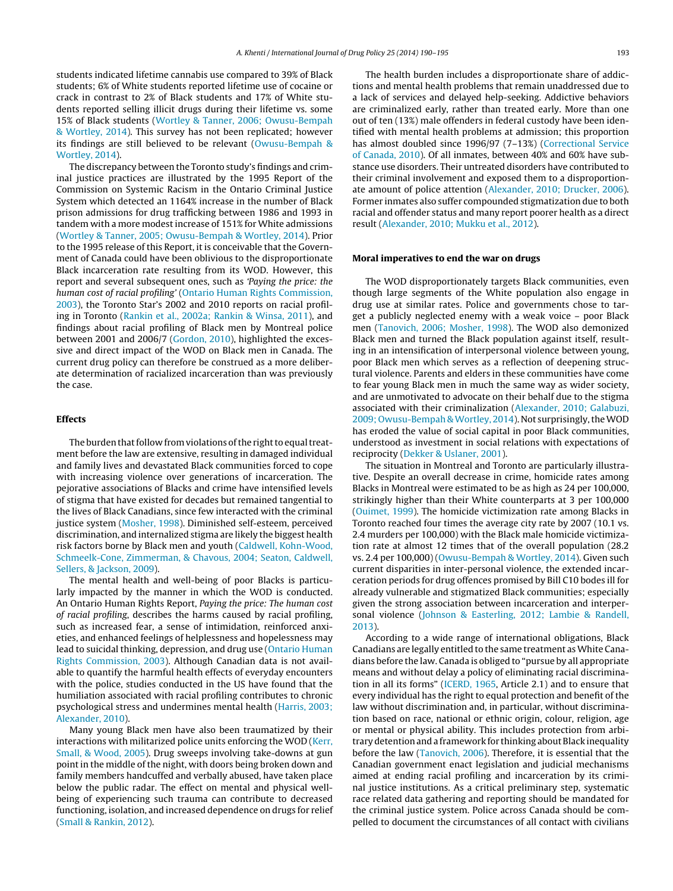students indicated lifetime cannabis use compared to 39% of Black students; 6% of White students reported lifetime use of cocaine or crack in contrast to 2% of Black students and 17% of White students reported selling illicit drugs during their lifetime vs. some 15% of Black students [\(Wortley](#page-5-0) [&](#page-5-0) [Tanner,](#page-5-0) [2006;](#page-5-0) [Owusu-Bempah](#page-5-0) [&](#page-5-0) [Wortley,](#page-5-0) [2014\).](#page-5-0) This survey has not been replicated; however its findings are still believed to be relevant [\(Owusu-Bempah](#page-4-0) [&](#page-4-0) [Wortley,](#page-4-0) [2014\).](#page-4-0)

The discrepancy between the Toronto study's findings and criminal justice practices are illustrated by the 1995 Report of the Commission on Systemic Racism in the Ontario Criminal Justice System which detected an 1164% increase in the number of Black prison admissions for drug trafficking between 1986 and 1993 in tandem with a more modest increase of 151% for White admissions ([Wortley](#page-5-0) [&](#page-5-0) [Tanner,](#page-5-0) [2005;](#page-5-0) [Owusu-Bempah](#page-5-0) [&](#page-5-0) [Wortley,](#page-5-0) [2014\).](#page-5-0) Prior to the 1995 release of this Report, it is conceivable that the Government of Canada could have been oblivious to the disproportionate Black incarceration rate resulting from its WOD. However, this report and several subsequent ones, such as 'Paying the price: the human cost of racial profiling' [\(Ontario](#page-4-0) [Human](#page-4-0) [Rights](#page-4-0) [Commission,](#page-4-0) [2003\),](#page-4-0) the Toronto Star's 2002 and 2010 reports on racial profiling in Toronto ([Rankin](#page-4-0) et [al.,](#page-4-0) [2002a;](#page-4-0) [Rankin](#page-4-0) [&](#page-4-0) [Winsa,](#page-4-0) [2011\),](#page-4-0) and findings about racial profiling of Black men by Montreal police between 2001 and 2006/7 [\(Gordon,](#page-4-0) [2010\),](#page-4-0) highlighted the excessive and direct impact of the WOD on Black men in Canada. The current drug policy can therefore be construed as a more deliberate determination of racialized incarceration than was previously the case.

#### **Effects**

The burden that follow from violations of the right to equal treatment before the law are extensive, resulting in damaged individual and family lives and devastated Black communities forced to cope with increasing violence over generations of incarceration. The pejorative associations of Blacks and crime have intensified levels of stigma that have existed for decades but remained tangential to the lives of Black Canadians, since few interacted with the criminal justice system ([Mosher,](#page-4-0) [1998\).](#page-4-0) Diminished self-esteem, perceived discrimination, and internalized stigma are likely the biggest health risk factors borne by Black men and youth ([Caldwell,](#page-4-0) [Kohn-Wood,](#page-4-0) [Schmeelk-Cone,](#page-4-0) [Zimmerman,](#page-4-0) [&](#page-4-0) [Chavous,](#page-4-0) [2004;](#page-4-0) [Seaton,](#page-4-0) [Caldwell,](#page-4-0) [Sellers,](#page-4-0) [&](#page-4-0) [Jackson,](#page-4-0) [2009\).](#page-4-0)

The mental health and well-being of poor Blacks is particularly impacted by the manner in which the WOD is conducted. An Ontario Human Rights Report, Paying the price: The human cost of racial profiling, describes the harms caused by racial profiling, such as increased fear, a sense of intimidation, reinforced anxieties, and enhanced feelings of helplessness and hopelessness may lead to suicidal thinking, depression, and drug use [\(Ontario](#page-4-0) [Human](#page-4-0) [Rights](#page-4-0) [Commission,](#page-4-0) [2003\).](#page-4-0) Although Canadian data is not available to quantify the harmful health effects of everyday encounters with the police, studies conducted in the US have found that the humiliation associated with racial profiling contributes to chronic psychological stress and undermines mental health ([Harris,](#page-4-0) [2003;](#page-4-0) [Alexander,](#page-4-0) [2010\).](#page-4-0)

Many young Black men have also been traumatized by their interactions with militarized police units enforcing the WOD ([Kerr,](#page-4-0) [Small,](#page-4-0) [&](#page-4-0) [Wood,](#page-4-0) [2005\).](#page-4-0) Drug sweeps involving take-downs at gun point in the middle of the night, with doors being broken down and family members handcuffed and verbally abused, have taken place below the public radar. The effect on mental and physical wellbeing of experiencing such trauma can contribute to decreased functioning, isolation, and increased dependence on drugs for relief ([Small](#page-4-0) [&](#page-4-0) [Rankin,](#page-4-0) [2012\).](#page-4-0)

The health burden includes a disproportionate share of addictions and mental health problems that remain unaddressed due to a lack of services and delayed help-seeking. Addictive behaviors are criminalized early, rather than treated early. More than one out of ten (13%) male offenders in federal custody have been identified with mental health problems at admission; this proportion has almost doubled since 1996/97 (7-13%) [\(Correctional](#page-4-0) [Service](#page-4-0) [of](#page-4-0) [Canada,](#page-4-0) [2010\).](#page-4-0) Of all inmates, between 40% and 60% have substance use disorders. Their untreated disorders have contributed to their criminal involvement and exposed them to a disproportionate amount of police attention ([Alexander,](#page-4-0) [2010;](#page-4-0) [Drucker,](#page-4-0) [2006\).](#page-4-0) Former inmates also suffer compounded stigmatization due to both racial and offender status and many report poorer health as a direct result [\(Alexander,](#page-4-0) [2010;](#page-4-0) [Mukku](#page-4-0) et [al.,](#page-4-0) [2012\).](#page-4-0)

#### **Moral imperatives to end the war on drugs**

The WOD disproportionately targets Black communities, even though large segments of the White population also engage in drug use at similar rates. Police and governments chose to target a publicly neglected enemy with a weak voice – poor Black men ([Tanovich,](#page-5-0) [2006;](#page-5-0) [Mosher,](#page-5-0) [1998\).](#page-5-0) The WOD also demonized Black men and turned the Black population against itself, resulting in an intensification of interpersonal violence between young, poor Black men which serves as a reflection of deepening structural violence. Parents and elders in these communities have come to fear young Black men in much the same way as wider society, and are unmotivated to advocate on their behalf due to the stigma associated with their criminalization [\(Alexander,](#page-4-0) [2010;](#page-4-0) [Galabuzi,](#page-4-0) [2009;](#page-4-0) [Owusu-Bempah](#page-4-0) & Wortley, [2014\).](#page-4-0) Not surprisingly, the WOD has eroded the value of social capital in poor Black communities, understood as investment in social relations with expectations of reciprocity ([Dekker](#page-4-0) [&](#page-4-0) [Uslaner,](#page-4-0) [2001\).](#page-4-0)

The situation in Montreal and Toronto are particularly illustrative. Despite an overall decrease in crime, homicide rates among Blacks in Montreal were estimated to be as high as 24 per 100,000, strikingly higher than their White counterparts at 3 per 100,000 [\(Ouimet,](#page-4-0) [1999\).](#page-4-0) The homicide victimization rate among Blacks in Toronto reached four times the average city rate by 2007 (10.1 vs. 2.4 murders per 100,000) with the Black male homicide victimization rate at almost 12 times that of the overall population (28.2 vs. 2.4 per 100,000) [\(Owusu-Bempah](#page-4-0) [&](#page-4-0) [Wortley,](#page-4-0) [2014\).](#page-4-0) Given such current disparities in inter-personal violence, the extended incarceration periods for drug offences promised by Bill C10 bodes ill for already vulnerable and stigmatized Black communities; especially given the strong association between incarceration and interpersonal violence ([Johnson](#page-4-0) [&](#page-4-0) [Easterling,](#page-4-0) [2012;](#page-4-0) [Lambie](#page-4-0) [&](#page-4-0) [Randell,](#page-4-0) [2013\).](#page-4-0)

According to a wide range of international obligations, Black Canadians are legally entitled to the same treatment as White Canadians before the law. Canada is obliged to "pursue by all appropriate means and without delay a policy of eliminating racial discrimination in all its forms" ([ICERD,](#page-4-0) [1965,](#page-4-0) Article 2.1) and to ensure that every individual has the right to equal protection and benefit of the law without discrimination and, in particular, without discrimination based on race, national or ethnic origin, colour, religion, age or mental or physical ability. This includes protection from arbitrary detention and a framework for thinking about Black inequality before the law [\(Tanovich,](#page-5-0) [2006\).](#page-5-0) Therefore, it is essential that the Canadian government enact legislation and judicial mechanisms aimed at ending racial profiling and incarceration by its criminal justice institutions. As a critical preliminary step, systematic race related data gathering and reporting should be mandated for the criminal justice system. Police across Canada should be compelled to document the circumstances of all contact with civilians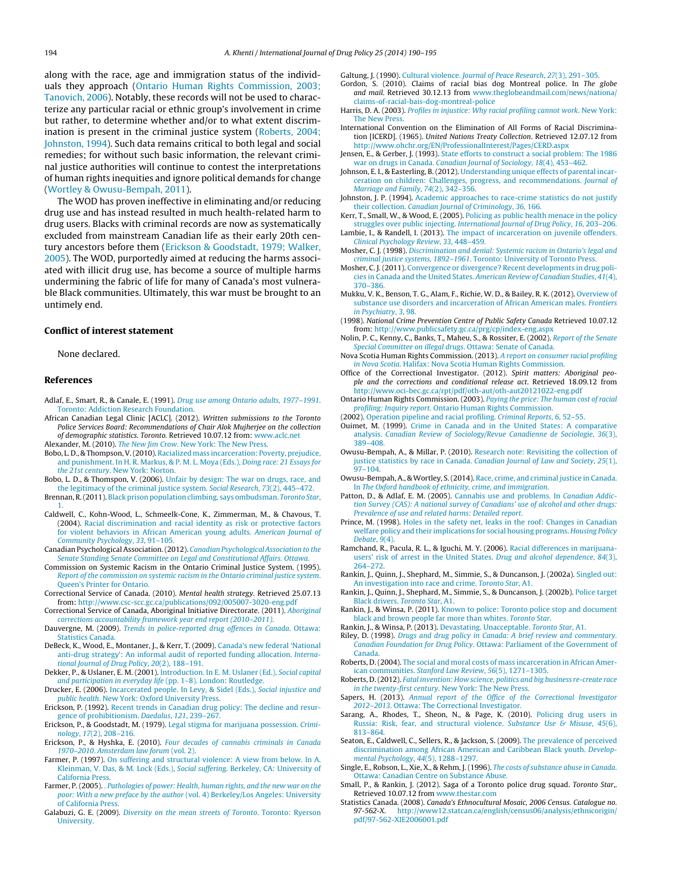<span id="page-4-0"></span>along with the race, age and immigration status of the individuals they approach (Ontario Human Rights Commission, 2003; Tanovich, 2006). Notably, these records will not be used to characterize any particular racial or ethnic group's involvement in crime but rather, to determine whether and/or to what extent discrimination is present in the criminal justice system (Roberts, 2004; Johnston, 1994). Such data remains critical to both legal and social remedies; for without such basic information, the relevant criminal justice authorities will continue to contest the interpretations of human rights inequities and ignore political demands for change ([Wortley](#page-5-0) [&](#page-5-0) [Owusu-Bempah,](#page-5-0) [2011\).](#page-5-0)

The WOD has proven ineffective in eliminating and/or reducing drug use and has instead resulted in much health-related harm to drug users. Blacks with criminal records are now as systematically excluded from mainstream Canadian life as their early 20th century ancestors before them (Erickson & Goodstadt, 1979; Walker, 2005). The WOD, purportedly aimed at reducing the harms associated with illicit drug use, has become a source of multiple harms undermining the fabric of life for many of Canada's most vulnerable Black communities. Ultimately, this war must be brought to an untimely end.

#### **Conflict of interest statement**

#### None declared.

#### **References**

- Adlaf, E., Smart, R., & Canale, E. (1991). [Drug](http://refhub.elsevier.com/S0955-3959(13)00230-2/sbref0005) [use](http://refhub.elsevier.com/S0955-3959(13)00230-2/sbref0005) [among](http://refhub.elsevier.com/S0955-3959(13)00230-2/sbref0005) [Ontario](http://refhub.elsevier.com/S0955-3959(13)00230-2/sbref0005) [adults,](http://refhub.elsevier.com/S0955-3959(13)00230-2/sbref0005) [1977–1991](http://refhub.elsevier.com/S0955-3959(13)00230-2/sbref0005)[.](http://refhub.elsevier.com/S0955-3959(13)00230-2/sbref0005) [Toronto:](http://refhub.elsevier.com/S0955-3959(13)00230-2/sbref0005) [Addiction](http://refhub.elsevier.com/S0955-3959(13)00230-2/sbref0005) [Research](http://refhub.elsevier.com/S0955-3959(13)00230-2/sbref0005) [Foundation.](http://refhub.elsevier.com/S0955-3959(13)00230-2/sbref0005)
- African Canadian Legal Clinic [ACLC]. (2012). Written submissions to the Toronto Police Services Board: Recommendations of Chair Alok Mujherjee on the collection of demographic statistics. Toronto. Retrieved 10.07.12 from: [www.aclc.net](http://www.aclc.net/)
- Alexander, M. (2010). [The](http://refhub.elsevier.com/S0955-3959(13)00230-2/sbref0015) [New](http://refhub.elsevier.com/S0955-3959(13)00230-2/sbref0015) [Jim](http://refhub.elsevier.com/S0955-3959(13)00230-2/sbref0015) [Crow](http://refhub.elsevier.com/S0955-3959(13)00230-2/sbref0015)[.](http://refhub.elsevier.com/S0955-3959(13)00230-2/sbref0015) [New](http://refhub.elsevier.com/S0955-3959(13)00230-2/sbref0015) [York:](http://refhub.elsevier.com/S0955-3959(13)00230-2/sbref0015) [The](http://refhub.elsevier.com/S0955-3959(13)00230-2/sbref0015) [New](http://refhub.elsevier.com/S0955-3959(13)00230-2/sbref0015) [Press.](http://refhub.elsevier.com/S0955-3959(13)00230-2/sbref0015)
- Bobo, L. D., & Thompson, V. (2010). [Racialized](http://refhub.elsevier.com/S0955-3959(13)00230-2/sbref0025) [mass](http://refhub.elsevier.com/S0955-3959(13)00230-2/sbref0025) [incarceration:](http://refhub.elsevier.com/S0955-3959(13)00230-2/sbref0025) [Poverty,](http://refhub.elsevier.com/S0955-3959(13)00230-2/sbref0025) [prejudice,](http://refhub.elsevier.com/S0955-3959(13)00230-2/sbref0025) [and](http://refhub.elsevier.com/S0955-3959(13)00230-2/sbref0025) [punishment.](http://refhub.elsevier.com/S0955-3959(13)00230-2/sbref0025) [In](http://refhub.elsevier.com/S0955-3959(13)00230-2/sbref0025) [H.](http://refhub.elsevier.com/S0955-3959(13)00230-2/sbref0025) [R.](http://refhub.elsevier.com/S0955-3959(13)00230-2/sbref0025) [Markus,](http://refhub.elsevier.com/S0955-3959(13)00230-2/sbref0025) [&](http://refhub.elsevier.com/S0955-3959(13)00230-2/sbref0025) [P.](http://refhub.elsevier.com/S0955-3959(13)00230-2/sbref0025) [M.](http://refhub.elsevier.com/S0955-3959(13)00230-2/sbref0025) [L.](http://refhub.elsevier.com/S0955-3959(13)00230-2/sbref0025) [Moya](http://refhub.elsevier.com/S0955-3959(13)00230-2/sbref0025) [\(Eds.\),](http://refhub.elsevier.com/S0955-3959(13)00230-2/sbref0025) [Doing](http://refhub.elsevier.com/S0955-3959(13)00230-2/sbref0025) [race:](http://refhub.elsevier.com/S0955-3959(13)00230-2/sbref0025) [21](http://refhub.elsevier.com/S0955-3959(13)00230-2/sbref0025) [Essays](http://refhub.elsevier.com/S0955-3959(13)00230-2/sbref0025) [for](http://refhub.elsevier.com/S0955-3959(13)00230-2/sbref0025) [the](http://refhub.elsevier.com/S0955-3959(13)00230-2/sbref0025) [21st](http://refhub.elsevier.com/S0955-3959(13)00230-2/sbref0025) [century](http://refhub.elsevier.com/S0955-3959(13)00230-2/sbref0025)[.](http://refhub.elsevier.com/S0955-3959(13)00230-2/sbref0025) [New](http://refhub.elsevier.com/S0955-3959(13)00230-2/sbref0025) [York:](http://refhub.elsevier.com/S0955-3959(13)00230-2/sbref0025) [Norton.](http://refhub.elsevier.com/S0955-3959(13)00230-2/sbref0025)
- Bobo, L. D., & Thomspon, V. (2006). [Unfair](http://refhub.elsevier.com/S0955-3959(13)00230-2/sbref0030) [by](http://refhub.elsevier.com/S0955-3959(13)00230-2/sbref0030) [design:](http://refhub.elsevier.com/S0955-3959(13)00230-2/sbref0030) [The](http://refhub.elsevier.com/S0955-3959(13)00230-2/sbref0030) [war](http://refhub.elsevier.com/S0955-3959(13)00230-2/sbref0030) [on](http://refhub.elsevier.com/S0955-3959(13)00230-2/sbref0030) [drugs,](http://refhub.elsevier.com/S0955-3959(13)00230-2/sbref0030) [race,](http://refhub.elsevier.com/S0955-3959(13)00230-2/sbref0030) [and](http://refhub.elsevier.com/S0955-3959(13)00230-2/sbref0030) [the](http://refhub.elsevier.com/S0955-3959(13)00230-2/sbref0030) [legitimacy](http://refhub.elsevier.com/S0955-3959(13)00230-2/sbref0030) [of](http://refhub.elsevier.com/S0955-3959(13)00230-2/sbref0030) [the](http://refhub.elsevier.com/S0955-3959(13)00230-2/sbref0030) [criminal](http://refhub.elsevier.com/S0955-3959(13)00230-2/sbref0030) [justice](http://refhub.elsevier.com/S0955-3959(13)00230-2/sbref0030) [system.](http://refhub.elsevier.com/S0955-3959(13)00230-2/sbref0030) [Social](http://refhub.elsevier.com/S0955-3959(13)00230-2/sbref0030) [Research](http://refhub.elsevier.com/S0955-3959(13)00230-2/sbref0030)[,](http://refhub.elsevier.com/S0955-3959(13)00230-2/sbref0030) [73](http://refhub.elsevier.com/S0955-3959(13)00230-2/sbref0030)[\(2\),](http://refhub.elsevier.com/S0955-3959(13)00230-2/sbref0030) [445](http://refhub.elsevier.com/S0955-3959(13)00230-2/sbref0030)–[472.](http://refhub.elsevier.com/S0955-3959(13)00230-2/sbref0030) Brennan, R.(2011). [Black](http://refhub.elsevier.com/S0955-3959(13)00230-2/sbref0035) [prison](http://refhub.elsevier.com/S0955-3959(13)00230-2/sbref0035) [population](http://refhub.elsevier.com/S0955-3959(13)00230-2/sbref0035) [climbing,](http://refhub.elsevier.com/S0955-3959(13)00230-2/sbref0035) [says](http://refhub.elsevier.com/S0955-3959(13)00230-2/sbref0035) [ombudsman.](http://refhub.elsevier.com/S0955-3959(13)00230-2/sbref0035) [Toronto](http://refhub.elsevier.com/S0955-3959(13)00230-2/sbref0035) [Star](http://refhub.elsevier.com/S0955-3959(13)00230-2/sbref0035)[,](http://refhub.elsevier.com/S0955-3959(13)00230-2/sbref0035)
- [1.](http://refhub.elsevier.com/S0955-3959(13)00230-2/sbref0035)
- Caldwell, C., Kohn-Wood, L., Schmeelk-Cone, K., Zimmerman, M., & Chavous, T. (2004). [Racial](http://refhub.elsevier.com/S0955-3959(13)00230-2/sbref0040) [discrimination](http://refhub.elsevier.com/S0955-3959(13)00230-2/sbref0040) [and](http://refhub.elsevier.com/S0955-3959(13)00230-2/sbref0040) [racial](http://refhub.elsevier.com/S0955-3959(13)00230-2/sbref0040) [identity](http://refhub.elsevier.com/S0955-3959(13)00230-2/sbref0040) [as](http://refhub.elsevier.com/S0955-3959(13)00230-2/sbref0040) [risk](http://refhub.elsevier.com/S0955-3959(13)00230-2/sbref0040) [or](http://refhub.elsevier.com/S0955-3959(13)00230-2/sbref0040) [protective](http://refhub.elsevier.com/S0955-3959(13)00230-2/sbref0040) [factors](http://refhub.elsevier.com/S0955-3959(13)00230-2/sbref0040) [for](http://refhub.elsevier.com/S0955-3959(13)00230-2/sbref0040) [violent](http://refhub.elsevier.com/S0955-3959(13)00230-2/sbref0040) [behaviors](http://refhub.elsevier.com/S0955-3959(13)00230-2/sbref0040) [in](http://refhub.elsevier.com/S0955-3959(13)00230-2/sbref0040) [African](http://refhub.elsevier.com/S0955-3959(13)00230-2/sbref0040) [American](http://refhub.elsevier.com/S0955-3959(13)00230-2/sbref0040) [young](http://refhub.elsevier.com/S0955-3959(13)00230-2/sbref0040) [adults.](http://refhub.elsevier.com/S0955-3959(13)00230-2/sbref0040) [American](http://refhub.elsevier.com/S0955-3959(13)00230-2/sbref0040) [Journal](http://refhub.elsevier.com/S0955-3959(13)00230-2/sbref0040) [of](http://refhub.elsevier.com/S0955-3959(13)00230-2/sbref0040) [Community](http://refhub.elsevier.com/S0955-3959(13)00230-2/sbref0040) [Psychology](http://refhub.elsevier.com/S0955-3959(13)00230-2/sbref0040)[,](http://refhub.elsevier.com/S0955-3959(13)00230-2/sbref0040) [33](http://refhub.elsevier.com/S0955-3959(13)00230-2/sbref0040)[,](http://refhub.elsevier.com/S0955-3959(13)00230-2/sbref0040) [91–105.](http://refhub.elsevier.com/S0955-3959(13)00230-2/sbref0040)
- Canadian Psychological Association.(2012). [Canadian](http://refhub.elsevier.com/S0955-3959(13)00230-2/sbref0050) [Psychological](http://refhub.elsevier.com/S0955-3959(13)00230-2/sbref0050) [Association](http://refhub.elsevier.com/S0955-3959(13)00230-2/sbref0050) [to](http://refhub.elsevier.com/S0955-3959(13)00230-2/sbref0050) [the](http://refhub.elsevier.com/S0955-3959(13)00230-2/sbref0050) [Senate](http://refhub.elsevier.com/S0955-3959(13)00230-2/sbref0050) [Standing](http://refhub.elsevier.com/S0955-3959(13)00230-2/sbref0050) [Senate](http://refhub.elsevier.com/S0955-3959(13)00230-2/sbref0050) [Committee](http://refhub.elsevier.com/S0955-3959(13)00230-2/sbref0050) [on](http://refhub.elsevier.com/S0955-3959(13)00230-2/sbref0050) [Legal](http://refhub.elsevier.com/S0955-3959(13)00230-2/sbref0050) [and](http://refhub.elsevier.com/S0955-3959(13)00230-2/sbref0050) [Constitutional](http://refhub.elsevier.com/S0955-3959(13)00230-2/sbref0050) [Affairs.](http://refhub.elsevier.com/S0955-3959(13)00230-2/sbref0050) [Ottawa](http://refhub.elsevier.com/S0955-3959(13)00230-2/sbref0050)[.](http://refhub.elsevier.com/S0955-3959(13)00230-2/sbref0050)
- Commission on Systemic Racism in the Ontario Criminal Justice System. (1995). [Report](http://refhub.elsevier.com/S0955-3959(13)00230-2/sbref0075) [of](http://refhub.elsevier.com/S0955-3959(13)00230-2/sbref0075) [the](http://refhub.elsevier.com/S0955-3959(13)00230-2/sbref0075) [commission](http://refhub.elsevier.com/S0955-3959(13)00230-2/sbref0075) [on](http://refhub.elsevier.com/S0955-3959(13)00230-2/sbref0075) [systemic](http://refhub.elsevier.com/S0955-3959(13)00230-2/sbref0075) [racism](http://refhub.elsevier.com/S0955-3959(13)00230-2/sbref0075) [in](http://refhub.elsevier.com/S0955-3959(13)00230-2/sbref0075) [the](http://refhub.elsevier.com/S0955-3959(13)00230-2/sbref0075) [Ontario](http://refhub.elsevier.com/S0955-3959(13)00230-2/sbref0075) [criminal](http://refhub.elsevier.com/S0955-3959(13)00230-2/sbref0075) [justice](http://refhub.elsevier.com/S0955-3959(13)00230-2/sbref0075) [system](http://refhub.elsevier.com/S0955-3959(13)00230-2/sbref0075)[.](http://refhub.elsevier.com/S0955-3959(13)00230-2/sbref0075) [Queen's](http://refhub.elsevier.com/S0955-3959(13)00230-2/sbref0075) [Printer](http://refhub.elsevier.com/S0955-3959(13)00230-2/sbref0075) [for](http://refhub.elsevier.com/S0955-3959(13)00230-2/sbref0075) [Ontario.](http://refhub.elsevier.com/S0955-3959(13)00230-2/sbref0075)
- Correctional Service of Canada. (2010). Mental health strategy. Retrieved 25.07.13 from: <http://www.csc-scc.gc.ca/publications/092/005007-3020-eng.pdf>
- Correctional Service of Canada, Aboriginal Initiative Directorate. (2011). [Aboriginal](http://refhub.elsevier.com/S0955-3959(13)00230-2/sbref0085) [corrections](http://refhub.elsevier.com/S0955-3959(13)00230-2/sbref0085) [accountability](http://refhub.elsevier.com/S0955-3959(13)00230-2/sbref0085) [framework](http://refhub.elsevier.com/S0955-3959(13)00230-2/sbref0085) [year](http://refhub.elsevier.com/S0955-3959(13)00230-2/sbref0085) [end](http://refhub.elsevier.com/S0955-3959(13)00230-2/sbref0085) [report](http://refhub.elsevier.com/S0955-3959(13)00230-2/sbref0085) [\(2010–2011\)](http://refhub.elsevier.com/S0955-3959(13)00230-2/sbref0085)[.](http://refhub.elsevier.com/S0955-3959(13)00230-2/sbref0085)
- Dauvergne, M. (2009). [Trends](http://refhub.elsevier.com/S0955-3959(13)00230-2/sbref0095) [in](http://refhub.elsevier.com/S0955-3959(13)00230-2/sbref0095) [police-reported](http://refhub.elsevier.com/S0955-3959(13)00230-2/sbref0095) [drug](http://refhub.elsevier.com/S0955-3959(13)00230-2/sbref0095) [offences](http://refhub.elsevier.com/S0955-3959(13)00230-2/sbref0095) [in](http://refhub.elsevier.com/S0955-3959(13)00230-2/sbref0095) [Canada](http://refhub.elsevier.com/S0955-3959(13)00230-2/sbref0095)[.](http://refhub.elsevier.com/S0955-3959(13)00230-2/sbref0095) [Ottawa:](http://refhub.elsevier.com/S0955-3959(13)00230-2/sbref0095) [Statistics](http://refhub.elsevier.com/S0955-3959(13)00230-2/sbref0095) [Canada.](http://refhub.elsevier.com/S0955-3959(13)00230-2/sbref0095)
- DeBeck, K., Wood, E., Montaner, J., & Kerr, T. (2009). [Canada's](http://refhub.elsevier.com/S0955-3959(13)00230-2/sbref0100) [new](http://refhub.elsevier.com/S0955-3959(13)00230-2/sbref0100) [federal](http://refhub.elsevier.com/S0955-3959(13)00230-2/sbref0100) ['National](http://refhub.elsevier.com/S0955-3959(13)00230-2/sbref0100) [anti-drug](http://refhub.elsevier.com/S0955-3959(13)00230-2/sbref0100) [strategy':](http://refhub.elsevier.com/S0955-3959(13)00230-2/sbref0100) [An](http://refhub.elsevier.com/S0955-3959(13)00230-2/sbref0100) [informal](http://refhub.elsevier.com/S0955-3959(13)00230-2/sbref0100) [audit](http://refhub.elsevier.com/S0955-3959(13)00230-2/sbref0100) [of](http://refhub.elsevier.com/S0955-3959(13)00230-2/sbref0100) [reported](http://refhub.elsevier.com/S0955-3959(13)00230-2/sbref0100) [funding](http://refhub.elsevier.com/S0955-3959(13)00230-2/sbref0100) [allocation.](http://refhub.elsevier.com/S0955-3959(13)00230-2/sbref0100) [Interna](http://refhub.elsevier.com/S0955-3959(13)00230-2/sbref0100)[tional](http://refhub.elsevier.com/S0955-3959(13)00230-2/sbref0100) [Journal](http://refhub.elsevier.com/S0955-3959(13)00230-2/sbref0100) [of](http://refhub.elsevier.com/S0955-3959(13)00230-2/sbref0100) [Drug](http://refhub.elsevier.com/S0955-3959(13)00230-2/sbref0100) [Policy](http://refhub.elsevier.com/S0955-3959(13)00230-2/sbref0100)[,](http://refhub.elsevier.com/S0955-3959(13)00230-2/sbref0100) [20](http://refhub.elsevier.com/S0955-3959(13)00230-2/sbref0100)[\(2\),](http://refhub.elsevier.com/S0955-3959(13)00230-2/sbref0100) [188](http://refhub.elsevier.com/S0955-3959(13)00230-2/sbref0100)–[191.](http://refhub.elsevier.com/S0955-3959(13)00230-2/sbref0100)
- Dekker, P., & Uslaner, E. M. (2001). [Introduction.](http://refhub.elsevier.com/S0955-3959(13)00230-2/sbref0105) [In](http://refhub.elsevier.com/S0955-3959(13)00230-2/sbref0105) [E.](http://refhub.elsevier.com/S0955-3959(13)00230-2/sbref0105) [M.](http://refhub.elsevier.com/S0955-3959(13)00230-2/sbref0105) [Uslaner](http://refhub.elsevier.com/S0955-3959(13)00230-2/sbref0105) [\(Ed.\),](http://refhub.elsevier.com/S0955-3959(13)00230-2/sbref0105) [Social](http://refhub.elsevier.com/S0955-3959(13)00230-2/sbref0105) [capital](http://refhub.elsevier.com/S0955-3959(13)00230-2/sbref0105) [and](http://refhub.elsevier.com/S0955-3959(13)00230-2/sbref0105) [participation](http://refhub.elsevier.com/S0955-3959(13)00230-2/sbref0105) [in](http://refhub.elsevier.com/S0955-3959(13)00230-2/sbref0105) [everyday](http://refhub.elsevier.com/S0955-3959(13)00230-2/sbref0105) [life](http://refhub.elsevier.com/S0955-3959(13)00230-2/sbref0105) [\(pp.](http://refhub.elsevier.com/S0955-3959(13)00230-2/sbref0105) [1](http://refhub.elsevier.com/S0955-3959(13)00230-2/sbref0105)–[8\).](http://refhub.elsevier.com/S0955-3959(13)00230-2/sbref0105) [London:](http://refhub.elsevier.com/S0955-3959(13)00230-2/sbref0105) [Routledge.](http://refhub.elsevier.com/S0955-3959(13)00230-2/sbref0105)
- Drucker, E. (2006). [Incarcerated](http://refhub.elsevier.com/S0955-3959(13)00230-2/sbref0110) [people.](http://refhub.elsevier.com/S0955-3959(13)00230-2/sbref0110) [In](http://refhub.elsevier.com/S0955-3959(13)00230-2/sbref0110) [Levy,](http://refhub.elsevier.com/S0955-3959(13)00230-2/sbref0110) [&](http://refhub.elsevier.com/S0955-3959(13)00230-2/sbref0110) [Sidel](http://refhub.elsevier.com/S0955-3959(13)00230-2/sbref0110) [\(Eds.\),](http://refhub.elsevier.com/S0955-3959(13)00230-2/sbref0110) [Social](http://refhub.elsevier.com/S0955-3959(13)00230-2/sbref0110) [injustice](http://refhub.elsevier.com/S0955-3959(13)00230-2/sbref0110) [and](http://refhub.elsevier.com/S0955-3959(13)00230-2/sbref0110) [public](http://refhub.elsevier.com/S0955-3959(13)00230-2/sbref0110) [health](http://refhub.elsevier.com/S0955-3959(13)00230-2/sbref0110)[.](http://refhub.elsevier.com/S0955-3959(13)00230-2/sbref0110) [New](http://refhub.elsevier.com/S0955-3959(13)00230-2/sbref0110) [York:](http://refhub.elsevier.com/S0955-3959(13)00230-2/sbref0110) [Oxford](http://refhub.elsevier.com/S0955-3959(13)00230-2/sbref0110) [University](http://refhub.elsevier.com/S0955-3959(13)00230-2/sbref0110) [Press.](http://refhub.elsevier.com/S0955-3959(13)00230-2/sbref0110)
- Erickson, P. (1992). [Recent](http://refhub.elsevier.com/S0955-3959(13)00230-2/sbref0115) [trends](http://refhub.elsevier.com/S0955-3959(13)00230-2/sbref0115) [in](http://refhub.elsevier.com/S0955-3959(13)00230-2/sbref0115) [Canadian](http://refhub.elsevier.com/S0955-3959(13)00230-2/sbref0115) [drug](http://refhub.elsevier.com/S0955-3959(13)00230-2/sbref0115) [policy:](http://refhub.elsevier.com/S0955-3959(13)00230-2/sbref0115) [The](http://refhub.elsevier.com/S0955-3959(13)00230-2/sbref0115) [decline](http://refhub.elsevier.com/S0955-3959(13)00230-2/sbref0115) [and](http://refhub.elsevier.com/S0955-3959(13)00230-2/sbref0115) [resur](http://refhub.elsevier.com/S0955-3959(13)00230-2/sbref0115)[gence](http://refhub.elsevier.com/S0955-3959(13)00230-2/sbref0115) [of](http://refhub.elsevier.com/S0955-3959(13)00230-2/sbref0115) [prohibitionism.](http://refhub.elsevier.com/S0955-3959(13)00230-2/sbref0115) [Daedalus](http://refhub.elsevier.com/S0955-3959(13)00230-2/sbref0115)[,](http://refhub.elsevier.com/S0955-3959(13)00230-2/sbref0115) [121](http://refhub.elsevier.com/S0955-3959(13)00230-2/sbref0115)[,](http://refhub.elsevier.com/S0955-3959(13)00230-2/sbref0115) [239](http://refhub.elsevier.com/S0955-3959(13)00230-2/sbref0115)–[267.](http://refhub.elsevier.com/S0955-3959(13)00230-2/sbref0115)
- Erickson, P., & Goodstadt, M. (1979). [Legal](http://refhub.elsevier.com/S0955-3959(13)00230-2/sbref0125) [stigma](http://refhub.elsevier.com/S0955-3959(13)00230-2/sbref0125) [for](http://refhub.elsevier.com/S0955-3959(13)00230-2/sbref0125) [marijuana](http://refhub.elsevier.com/S0955-3959(13)00230-2/sbref0125) [possession.](http://refhub.elsevier.com/S0955-3959(13)00230-2/sbref0125) [Crimi](http://refhub.elsevier.com/S0955-3959(13)00230-2/sbref0125)[nology](http://refhub.elsevier.com/S0955-3959(13)00230-2/sbref0125)[,](http://refhub.elsevier.com/S0955-3959(13)00230-2/sbref0125) [17](http://refhub.elsevier.com/S0955-3959(13)00230-2/sbref0125)[\(2\),](http://refhub.elsevier.com/S0955-3959(13)00230-2/sbref0125) [208](http://refhub.elsevier.com/S0955-3959(13)00230-2/sbref0125)–[216.](http://refhub.elsevier.com/S0955-3959(13)00230-2/sbref0125)
- Erickson, P., & Hyshka, E. (2010). [Four](http://refhub.elsevier.com/S0955-3959(13)00230-2/sbref0130) [decades](http://refhub.elsevier.com/S0955-3959(13)00230-2/sbref0130) [of](http://refhub.elsevier.com/S0955-3959(13)00230-2/sbref0130) [cannabis](http://refhub.elsevier.com/S0955-3959(13)00230-2/sbref0130) [criminals](http://refhub.elsevier.com/S0955-3959(13)00230-2/sbref0130) [in](http://refhub.elsevier.com/S0955-3959(13)00230-2/sbref0130) [Canada](http://refhub.elsevier.com/S0955-3959(13)00230-2/sbref0130) [1970–2010](http://refhub.elsevier.com/S0955-3959(13)00230-2/sbref0130)[.](http://refhub.elsevier.com/S0955-3959(13)00230-2/sbref0130) [Amsterdam](http://refhub.elsevier.com/S0955-3959(13)00230-2/sbref0130) [law](http://refhub.elsevier.com/S0955-3959(13)00230-2/sbref0130) [forum](http://refhub.elsevier.com/S0955-3959(13)00230-2/sbref0130) [\(vol.](http://refhub.elsevier.com/S0955-3959(13)00230-2/sbref0130) [2\).](http://refhub.elsevier.com/S0955-3959(13)00230-2/sbref0130)
- Farmer, P. (1997). [On](http://refhub.elsevier.com/S0955-3959(13)00230-2/sbref0140) [suffering](http://refhub.elsevier.com/S0955-3959(13)00230-2/sbref0140) [and](http://refhub.elsevier.com/S0955-3959(13)00230-2/sbref0140) [structural](http://refhub.elsevier.com/S0955-3959(13)00230-2/sbref0140) [violence:](http://refhub.elsevier.com/S0955-3959(13)00230-2/sbref0140) [A](http://refhub.elsevier.com/S0955-3959(13)00230-2/sbref0140) [view](http://refhub.elsevier.com/S0955-3959(13)00230-2/sbref0140) [from](http://refhub.elsevier.com/S0955-3959(13)00230-2/sbref0140) [below.](http://refhub.elsevier.com/S0955-3959(13)00230-2/sbref0140) [In](http://refhub.elsevier.com/S0955-3959(13)00230-2/sbref0140) [A.](http://refhub.elsevier.com/S0955-3959(13)00230-2/sbref0140) [Kleinman,](http://refhub.elsevier.com/S0955-3959(13)00230-2/sbref0140) [V.](http://refhub.elsevier.com/S0955-3959(13)00230-2/sbref0140) [Das,](http://refhub.elsevier.com/S0955-3959(13)00230-2/sbref0140) [&](http://refhub.elsevier.com/S0955-3959(13)00230-2/sbref0140) [M.](http://refhub.elsevier.com/S0955-3959(13)00230-2/sbref0140) [Lock](http://refhub.elsevier.com/S0955-3959(13)00230-2/sbref0140) [\(Eds.\),](http://refhub.elsevier.com/S0955-3959(13)00230-2/sbref0140) [Social](http://refhub.elsevier.com/S0955-3959(13)00230-2/sbref0140) [suffering](http://refhub.elsevier.com/S0955-3959(13)00230-2/sbref0140)[.](http://refhub.elsevier.com/S0955-3959(13)00230-2/sbref0140) [Berkeley,](http://refhub.elsevier.com/S0955-3959(13)00230-2/sbref0140) [CA:](http://refhub.elsevier.com/S0955-3959(13)00230-2/sbref0140) [University](http://refhub.elsevier.com/S0955-3959(13)00230-2/sbref0140) [of](http://refhub.elsevier.com/S0955-3959(13)00230-2/sbref0140) [California](http://refhub.elsevier.com/S0955-3959(13)00230-2/sbref0140) [Press.](http://refhub.elsevier.com/S0955-3959(13)00230-2/sbref0140)
- Farmer, P. (2005). [.](http://refhub.elsevier.com/S0955-3959(13)00230-2/sbref0145) [Pathologies](http://refhub.elsevier.com/S0955-3959(13)00230-2/sbref0145) [of](http://refhub.elsevier.com/S0955-3959(13)00230-2/sbref0145) [power:](http://refhub.elsevier.com/S0955-3959(13)00230-2/sbref0145) [Health,](http://refhub.elsevier.com/S0955-3959(13)00230-2/sbref0145) [human](http://refhub.elsevier.com/S0955-3959(13)00230-2/sbref0145) [rights,](http://refhub.elsevier.com/S0955-3959(13)00230-2/sbref0145) [and](http://refhub.elsevier.com/S0955-3959(13)00230-2/sbref0145) [the](http://refhub.elsevier.com/S0955-3959(13)00230-2/sbref0145) [new](http://refhub.elsevier.com/S0955-3959(13)00230-2/sbref0145) [war](http://refhub.elsevier.com/S0955-3959(13)00230-2/sbref0145) [on](http://refhub.elsevier.com/S0955-3959(13)00230-2/sbref0145) [the](http://refhub.elsevier.com/S0955-3959(13)00230-2/sbref0145) [poor:](http://refhub.elsevier.com/S0955-3959(13)00230-2/sbref0145) [With](http://refhub.elsevier.com/S0955-3959(13)00230-2/sbref0145) [a](http://refhub.elsevier.com/S0955-3959(13)00230-2/sbref0145) [new](http://refhub.elsevier.com/S0955-3959(13)00230-2/sbref0145) [preface](http://refhub.elsevier.com/S0955-3959(13)00230-2/sbref0145) [by](http://refhub.elsevier.com/S0955-3959(13)00230-2/sbref0145) [the](http://refhub.elsevier.com/S0955-3959(13)00230-2/sbref0145) [author](http://refhub.elsevier.com/S0955-3959(13)00230-2/sbref0145) [\(vol.](http://refhub.elsevier.com/S0955-3959(13)00230-2/sbref0145) [4\)](http://refhub.elsevier.com/S0955-3959(13)00230-2/sbref0145) [Berkeley/Los](http://refhub.elsevier.com/S0955-3959(13)00230-2/sbref0145) [Angeles:](http://refhub.elsevier.com/S0955-3959(13)00230-2/sbref0145) [University](http://refhub.elsevier.com/S0955-3959(13)00230-2/sbref0145) [of](http://refhub.elsevier.com/S0955-3959(13)00230-2/sbref0145) [California](http://refhub.elsevier.com/S0955-3959(13)00230-2/sbref0145) [Press.](http://refhub.elsevier.com/S0955-3959(13)00230-2/sbref0145)
- Galabuzi, G. E. (2009). *[Diversity](http://refhub.elsevier.com/S0955-3959(13)00230-2/sbref0470) [on](http://refhub.elsevier.com/S0955-3959(13)00230-2/sbref0470) [the](http://refhub.elsevier.com/S0955-3959(13)00230-2/sbref0470) [mean](http://refhub.elsevier.com/S0955-3959(13)00230-2/sbref0470) [streets](http://refhub.elsevier.com/S0955-3959(13)00230-2/sbref0470) [of](http://refhub.elsevier.com/S0955-3959(13)00230-2/sbref0470) [Toronto](http://refhub.elsevier.com/S0955-3959(13)00230-2/sbref0470)*. [Toronto:](http://refhub.elsevier.com/S0955-3959(13)00230-2/sbref0470) [Ryerson](http://refhub.elsevier.com/S0955-3959(13)00230-2/sbref0470) [University.](http://refhub.elsevier.com/S0955-3959(13)00230-2/sbref0470)
- Galtung, J. (1990). [Cultural](http://refhub.elsevier.com/S0955-3959(13)00230-2/sbref0165) [violence.](http://refhub.elsevier.com/S0955-3959(13)00230-2/sbref0165) [Journal](http://refhub.elsevier.com/S0955-3959(13)00230-2/sbref0165) [of](http://refhub.elsevier.com/S0955-3959(13)00230-2/sbref0165) [Peace](http://refhub.elsevier.com/S0955-3959(13)00230-2/sbref0165) [Research](http://refhub.elsevier.com/S0955-3959(13)00230-2/sbref0165)[,](http://refhub.elsevier.com/S0955-3959(13)00230-2/sbref0165) [27](http://refhub.elsevier.com/S0955-3959(13)00230-2/sbref0165)[\(3\),](http://refhub.elsevier.com/S0955-3959(13)00230-2/sbref0165) [291–305.](http://refhub.elsevier.com/S0955-3959(13)00230-2/sbref0165)
- Gordon, S. (2010). Claims of racial bias dog Montreal police. In The globe and mail. Retrieved 30.12.13 from [www.theglobeandmail.com/news/nationa/](http://www.theglobeandmail.com/news/nationa/claims-of-racial-bais-dog-montreal-police) [claims-of-racial-bais-dog-montreal-police](http://www.theglobeandmail.com/news/nationa/claims-of-racial-bais-dog-montreal-police)
- Harris, D. A. (2003). [Profiles](http://refhub.elsevier.com/S0955-3959(13)00230-2/sbref0175) [in](http://refhub.elsevier.com/S0955-3959(13)00230-2/sbref0175) [injustice:](http://refhub.elsevier.com/S0955-3959(13)00230-2/sbref0175) [Why](http://refhub.elsevier.com/S0955-3959(13)00230-2/sbref0175) [racial](http://refhub.elsevier.com/S0955-3959(13)00230-2/sbref0175) [profiling](http://refhub.elsevier.com/S0955-3959(13)00230-2/sbref0175) [cannot](http://refhub.elsevier.com/S0955-3959(13)00230-2/sbref0175) [work](http://refhub.elsevier.com/S0955-3959(13)00230-2/sbref0175)[.](http://refhub.elsevier.com/S0955-3959(13)00230-2/sbref0175) [New](http://refhub.elsevier.com/S0955-3959(13)00230-2/sbref0175) [York:](http://refhub.elsevier.com/S0955-3959(13)00230-2/sbref0175) [The](http://refhub.elsevier.com/S0955-3959(13)00230-2/sbref0175) [New](http://refhub.elsevier.com/S0955-3959(13)00230-2/sbref0175) [Press.](http://refhub.elsevier.com/S0955-3959(13)00230-2/sbref0175)
- International Convention on the Elimination of All Forms of Racial Discrimination [ICERD]. (1965). United Nations Treaty Collection. Retrieved 12.07.12 from <http://www.ohchr.org/EN/ProfessionalInterest/Pages/CERD.aspx>
- Jensen, E., & Gerber, J. (1993). [State](http://refhub.elsevier.com/S0955-3959(13)00230-2/sbref0200) [efforts](http://refhub.elsevier.com/S0955-3959(13)00230-2/sbref0200) [to](http://refhub.elsevier.com/S0955-3959(13)00230-2/sbref0200) [construct](http://refhub.elsevier.com/S0955-3959(13)00230-2/sbref0200) [a](http://refhub.elsevier.com/S0955-3959(13)00230-2/sbref0200) [social](http://refhub.elsevier.com/S0955-3959(13)00230-2/sbref0200) [problem:](http://refhub.elsevier.com/S0955-3959(13)00230-2/sbref0200) [The](http://refhub.elsevier.com/S0955-3959(13)00230-2/sbref0200) [1986](http://refhub.elsevier.com/S0955-3959(13)00230-2/sbref0200) [war](http://refhub.elsevier.com/S0955-3959(13)00230-2/sbref0200) [on](http://refhub.elsevier.com/S0955-3959(13)00230-2/sbref0200) [drugs](http://refhub.elsevier.com/S0955-3959(13)00230-2/sbref0200) [in](http://refhub.elsevier.com/S0955-3959(13)00230-2/sbref0200) [Canada.](http://refhub.elsevier.com/S0955-3959(13)00230-2/sbref0200) [Canadian](http://refhub.elsevier.com/S0955-3959(13)00230-2/sbref0200) [Journal](http://refhub.elsevier.com/S0955-3959(13)00230-2/sbref0200) [of](http://refhub.elsevier.com/S0955-3959(13)00230-2/sbref0200) [Sociology](http://refhub.elsevier.com/S0955-3959(13)00230-2/sbref0200)[,](http://refhub.elsevier.com/S0955-3959(13)00230-2/sbref0200) [18](http://refhub.elsevier.com/S0955-3959(13)00230-2/sbref0200)[\(4\),](http://refhub.elsevier.com/S0955-3959(13)00230-2/sbref0200) [453–462.](http://refhub.elsevier.com/S0955-3959(13)00230-2/sbref0200)
- Johnson, E. I., & Easterling, B. (2012). [Understanding](http://refhub.elsevier.com/S0955-3959(13)00230-2/sbref0210) [unique](http://refhub.elsevier.com/S0955-3959(13)00230-2/sbref0210) [effects](http://refhub.elsevier.com/S0955-3959(13)00230-2/sbref0210) [of](http://refhub.elsevier.com/S0955-3959(13)00230-2/sbref0210) [parental](http://refhub.elsevier.com/S0955-3959(13)00230-2/sbref0210) [incar](http://refhub.elsevier.com/S0955-3959(13)00230-2/sbref0210)[ceration](http://refhub.elsevier.com/S0955-3959(13)00230-2/sbref0210) [on](http://refhub.elsevier.com/S0955-3959(13)00230-2/sbref0210) [children:](http://refhub.elsevier.com/S0955-3959(13)00230-2/sbref0210) [Challenges,](http://refhub.elsevier.com/S0955-3959(13)00230-2/sbref0210) [progress,](http://refhub.elsevier.com/S0955-3959(13)00230-2/sbref0210) [and](http://refhub.elsevier.com/S0955-3959(13)00230-2/sbref0210) [recommendations.](http://refhub.elsevier.com/S0955-3959(13)00230-2/sbref0210) [Journal](http://refhub.elsevier.com/S0955-3959(13)00230-2/sbref0210) [of](http://refhub.elsevier.com/S0955-3959(13)00230-2/sbref0210) [Marriage](http://refhub.elsevier.com/S0955-3959(13)00230-2/sbref0210) [and](http://refhub.elsevier.com/S0955-3959(13)00230-2/sbref0210) [Family](http://refhub.elsevier.com/S0955-3959(13)00230-2/sbref0210)[,](http://refhub.elsevier.com/S0955-3959(13)00230-2/sbref0210) [74](http://refhub.elsevier.com/S0955-3959(13)00230-2/sbref0210)[\(2\),](http://refhub.elsevier.com/S0955-3959(13)00230-2/sbref0210) [342–356.](http://refhub.elsevier.com/S0955-3959(13)00230-2/sbref0210)
- Johnston, J. P. (1994). [Academic](http://refhub.elsevier.com/S0955-3959(13)00230-2/sbref0480) [approaches](http://refhub.elsevier.com/S0955-3959(13)00230-2/sbref0480) [to](http://refhub.elsevier.com/S0955-3959(13)00230-2/sbref0480) [race-crime](http://refhub.elsevier.com/S0955-3959(13)00230-2/sbref0480) [statistics](http://refhub.elsevier.com/S0955-3959(13)00230-2/sbref0480) [do](http://refhub.elsevier.com/S0955-3959(13)00230-2/sbref0480) [not](http://refhub.elsevier.com/S0955-3959(13)00230-2/sbref0480) [justify](http://refhub.elsevier.com/S0955-3959(13)00230-2/sbref0480) [their](http://refhub.elsevier.com/S0955-3959(13)00230-2/sbref0480) [collection.](http://refhub.elsevier.com/S0955-3959(13)00230-2/sbref0480) [Canadian](http://refhub.elsevier.com/S0955-3959(13)00230-2/sbref0480) [Journal](http://refhub.elsevier.com/S0955-3959(13)00230-2/sbref0480) [of](http://refhub.elsevier.com/S0955-3959(13)00230-2/sbref0480) [Criminology](http://refhub.elsevier.com/S0955-3959(13)00230-2/sbref0480)[,](http://refhub.elsevier.com/S0955-3959(13)00230-2/sbref0480) [36](http://refhub.elsevier.com/S0955-3959(13)00230-2/sbref0480)[,](http://refhub.elsevier.com/S0955-3959(13)00230-2/sbref0480) [166.](http://refhub.elsevier.com/S0955-3959(13)00230-2/sbref0480)
- Kerr, T., Small, W., & Wood, E. (2005). [Policing](http://refhub.elsevier.com/S0955-3959(13)00230-2/sbref0215) [as](http://refhub.elsevier.com/S0955-3959(13)00230-2/sbref0215) [public](http://refhub.elsevier.com/S0955-3959(13)00230-2/sbref0215) [health](http://refhub.elsevier.com/S0955-3959(13)00230-2/sbref0215) [menace](http://refhub.elsevier.com/S0955-3959(13)00230-2/sbref0215) [in](http://refhub.elsevier.com/S0955-3959(13)00230-2/sbref0215) [the](http://refhub.elsevier.com/S0955-3959(13)00230-2/sbref0215) [policy](http://refhub.elsevier.com/S0955-3959(13)00230-2/sbref0215) [struggles](http://refhub.elsevier.com/S0955-3959(13)00230-2/sbref0215) [over](http://refhub.elsevier.com/S0955-3959(13)00230-2/sbref0215) [public](http://refhub.elsevier.com/S0955-3959(13)00230-2/sbref0215) [injecting.](http://refhub.elsevier.com/S0955-3959(13)00230-2/sbref0215) [International](http://refhub.elsevier.com/S0955-3959(13)00230-2/sbref0215) [Journal](http://refhub.elsevier.com/S0955-3959(13)00230-2/sbref0215) [of](http://refhub.elsevier.com/S0955-3959(13)00230-2/sbref0215) [Drug](http://refhub.elsevier.com/S0955-3959(13)00230-2/sbref0215) [Policy](http://refhub.elsevier.com/S0955-3959(13)00230-2/sbref0215)[,](http://refhub.elsevier.com/S0955-3959(13)00230-2/sbref0215) [16](http://refhub.elsevier.com/S0955-3959(13)00230-2/sbref0215)[,](http://refhub.elsevier.com/S0955-3959(13)00230-2/sbref0215) [203–206.](http://refhub.elsevier.com/S0955-3959(13)00230-2/sbref0215)
- Lambie, I., & Randell, I. (2013). [The](http://refhub.elsevier.com/S0955-3959(13)00230-2/sbref0220) [impact](http://refhub.elsevier.com/S0955-3959(13)00230-2/sbref0220) [of](http://refhub.elsevier.com/S0955-3959(13)00230-2/sbref0220) [incarceration](http://refhub.elsevier.com/S0955-3959(13)00230-2/sbref0220) [on](http://refhub.elsevier.com/S0955-3959(13)00230-2/sbref0220) [juvenile](http://refhub.elsevier.com/S0955-3959(13)00230-2/sbref0220) [offenders.](http://refhub.elsevier.com/S0955-3959(13)00230-2/sbref0220) [Clinical](http://refhub.elsevier.com/S0955-3959(13)00230-2/sbref0220) [Psychology](http://refhub.elsevier.com/S0955-3959(13)00230-2/sbref0220) [Review](http://refhub.elsevier.com/S0955-3959(13)00230-2/sbref0220)[,](http://refhub.elsevier.com/S0955-3959(13)00230-2/sbref0220) [33](http://refhub.elsevier.com/S0955-3959(13)00230-2/sbref0220)[,](http://refhub.elsevier.com/S0955-3959(13)00230-2/sbref0220) [448–459.](http://refhub.elsevier.com/S0955-3959(13)00230-2/sbref0220)
- Mosher, C. J. (1998). [Discrimination](http://refhub.elsevier.com/S0955-3959(13)00230-2/sbref0230) [and](http://refhub.elsevier.com/S0955-3959(13)00230-2/sbref0230) [denial:](http://refhub.elsevier.com/S0955-3959(13)00230-2/sbref0230) [Systemic](http://refhub.elsevier.com/S0955-3959(13)00230-2/sbref0230) [racism](http://refhub.elsevier.com/S0955-3959(13)00230-2/sbref0230) [in](http://refhub.elsevier.com/S0955-3959(13)00230-2/sbref0230) [Ontario's](http://refhub.elsevier.com/S0955-3959(13)00230-2/sbref0230) [legal](http://refhub.elsevier.com/S0955-3959(13)00230-2/sbref0230) [and](http://refhub.elsevier.com/S0955-3959(13)00230-2/sbref0230) [criminal](http://refhub.elsevier.com/S0955-3959(13)00230-2/sbref0230) [justice](http://refhub.elsevier.com/S0955-3959(13)00230-2/sbref0230) [systems,](http://refhub.elsevier.com/S0955-3959(13)00230-2/sbref0230) [1892–1961](http://refhub.elsevier.com/S0955-3959(13)00230-2/sbref0230)[.](http://refhub.elsevier.com/S0955-3959(13)00230-2/sbref0230) [Toronto:](http://refhub.elsevier.com/S0955-3959(13)00230-2/sbref0230) [University](http://refhub.elsevier.com/S0955-3959(13)00230-2/sbref0230) [of](http://refhub.elsevier.com/S0955-3959(13)00230-2/sbref0230) [Toronto](http://refhub.elsevier.com/S0955-3959(13)00230-2/sbref0230) [Press.](http://refhub.elsevier.com/S0955-3959(13)00230-2/sbref0230)
- Mosher, C. J. (2011). [Convergence](http://refhub.elsevier.com/S0955-3959(13)00230-2/sbref0235) [or](http://refhub.elsevier.com/S0955-3959(13)00230-2/sbref0235) [divergence?](http://refhub.elsevier.com/S0955-3959(13)00230-2/sbref0235) [Recent](http://refhub.elsevier.com/S0955-3959(13)00230-2/sbref0235) [developments](http://refhub.elsevier.com/S0955-3959(13)00230-2/sbref0235) [in](http://refhub.elsevier.com/S0955-3959(13)00230-2/sbref0235) [drug](http://refhub.elsevier.com/S0955-3959(13)00230-2/sbref0235) [poli](http://refhub.elsevier.com/S0955-3959(13)00230-2/sbref0235)[cies](http://refhub.elsevier.com/S0955-3959(13)00230-2/sbref0235) [in](http://refhub.elsevier.com/S0955-3959(13)00230-2/sbref0235) [Canada](http://refhub.elsevier.com/S0955-3959(13)00230-2/sbref0235) [and](http://refhub.elsevier.com/S0955-3959(13)00230-2/sbref0235) [the](http://refhub.elsevier.com/S0955-3959(13)00230-2/sbref0235) [United](http://refhub.elsevier.com/S0955-3959(13)00230-2/sbref0235) [States.](http://refhub.elsevier.com/S0955-3959(13)00230-2/sbref0235) [American](http://refhub.elsevier.com/S0955-3959(13)00230-2/sbref0235) [Review](http://refhub.elsevier.com/S0955-3959(13)00230-2/sbref0235) [of](http://refhub.elsevier.com/S0955-3959(13)00230-2/sbref0235) [Canadian](http://refhub.elsevier.com/S0955-3959(13)00230-2/sbref0235) [Studies](http://refhub.elsevier.com/S0955-3959(13)00230-2/sbref0235)[,](http://refhub.elsevier.com/S0955-3959(13)00230-2/sbref0235) [41](http://refhub.elsevier.com/S0955-3959(13)00230-2/sbref0235)[\(4\),](http://refhub.elsevier.com/S0955-3959(13)00230-2/sbref0235) [370–386.](http://refhub.elsevier.com/S0955-3959(13)00230-2/sbref0235)
- Mukku, V. K., Benson, T. G., Alam, F., Richie, W. D., & Bailey, R. K. (2012). [Overview](http://refhub.elsevier.com/S0955-3959(13)00230-2/sbref0240) [of](http://refhub.elsevier.com/S0955-3959(13)00230-2/sbref0240) [substance](http://refhub.elsevier.com/S0955-3959(13)00230-2/sbref0240) [use](http://refhub.elsevier.com/S0955-3959(13)00230-2/sbref0240) [disorders](http://refhub.elsevier.com/S0955-3959(13)00230-2/sbref0240) [and](http://refhub.elsevier.com/S0955-3959(13)00230-2/sbref0240) [incarceration](http://refhub.elsevier.com/S0955-3959(13)00230-2/sbref0240) [of](http://refhub.elsevier.com/S0955-3959(13)00230-2/sbref0240) [African](http://refhub.elsevier.com/S0955-3959(13)00230-2/sbref0240) [American](http://refhub.elsevier.com/S0955-3959(13)00230-2/sbref0240) [males.](http://refhub.elsevier.com/S0955-3959(13)00230-2/sbref0240) [Frontiers](http://refhub.elsevier.com/S0955-3959(13)00230-2/sbref0240) [in](http://refhub.elsevier.com/S0955-3959(13)00230-2/sbref0240) [Psychiatry](http://refhub.elsevier.com/S0955-3959(13)00230-2/sbref0240)[,](http://refhub.elsevier.com/S0955-3959(13)00230-2/sbref0240) [3](http://refhub.elsevier.com/S0955-3959(13)00230-2/sbref0240)[,](http://refhub.elsevier.com/S0955-3959(13)00230-2/sbref0240) [98.](http://refhub.elsevier.com/S0955-3959(13)00230-2/sbref0240)
- (1998). National Crime Prevention Centre of Public Safety Canada Retrieved 10.07.12 from: <http://www.publicsafety.gc.ca/prg/cp/index-eng.aspx>
- Nolin, P. C., Kenny, C., Banks, T., Maheu, S., & Rossiter, E. (2002). [Report](http://refhub.elsevier.com/S0955-3959(13)00230-2/sbref0255) [of](http://refhub.elsevier.com/S0955-3959(13)00230-2/sbref0255) [the](http://refhub.elsevier.com/S0955-3959(13)00230-2/sbref0255) [Senate](http://refhub.elsevier.com/S0955-3959(13)00230-2/sbref0255) [Special](http://refhub.elsevier.com/S0955-3959(13)00230-2/sbref0255) [Committee](http://refhub.elsevier.com/S0955-3959(13)00230-2/sbref0255) [on](http://refhub.elsevier.com/S0955-3959(13)00230-2/sbref0255) [illegal](http://refhub.elsevier.com/S0955-3959(13)00230-2/sbref0255) [drugs](http://refhub.elsevier.com/S0955-3959(13)00230-2/sbref0255). [Ottawa:](http://refhub.elsevier.com/S0955-3959(13)00230-2/sbref0255) [Senate](http://refhub.elsevier.com/S0955-3959(13)00230-2/sbref0255) [of](http://refhub.elsevier.com/S0955-3959(13)00230-2/sbref0255) [Canada.](http://refhub.elsevier.com/S0955-3959(13)00230-2/sbref0255)
- Nova Scotia Human Rights Commission. (2013). [A](http://refhub.elsevier.com/S0955-3959(13)00230-2/sbref0180) [report](http://refhub.elsevier.com/S0955-3959(13)00230-2/sbref0180) [on](http://refhub.elsevier.com/S0955-3959(13)00230-2/sbref0180) [consumer](http://refhub.elsevier.com/S0955-3959(13)00230-2/sbref0180) [racial](http://refhub.elsevier.com/S0955-3959(13)00230-2/sbref0180) [profiling](http://refhub.elsevier.com/S0955-3959(13)00230-2/sbref0180) [in](http://refhub.elsevier.com/S0955-3959(13)00230-2/sbref0180) [Nova](http://refhub.elsevier.com/S0955-3959(13)00230-2/sbref0180) [Scotia](http://refhub.elsevier.com/S0955-3959(13)00230-2/sbref0180)[.](http://refhub.elsevier.com/S0955-3959(13)00230-2/sbref0180) [Halifax:](http://refhub.elsevier.com/S0955-3959(13)00230-2/sbref0180) [Nova](http://refhub.elsevier.com/S0955-3959(13)00230-2/sbref0180) [Scotia](http://refhub.elsevier.com/S0955-3959(13)00230-2/sbref0180) [Human](http://refhub.elsevier.com/S0955-3959(13)00230-2/sbref0180) [Rights](http://refhub.elsevier.com/S0955-3959(13)00230-2/sbref0180) [Commission.](http://refhub.elsevier.com/S0955-3959(13)00230-2/sbref0180)
- Office of the Correctional Investigator. (2012). Spirit matters: Aboriginal people and the corrections and conditional release act. Retrieved 18.09.12 from <http://www.oci-bec.gc.ca/rpt/pdf/oth-aut/oth-aut20121022-eng.pdf>
- Ontario Human Rights Commission. (2003). [Paying](http://refhub.elsevier.com/S0955-3959(13)00230-2/sbref0265) [the](http://refhub.elsevier.com/S0955-3959(13)00230-2/sbref0265) [price:](http://refhub.elsevier.com/S0955-3959(13)00230-2/sbref0265) [The](http://refhub.elsevier.com/S0955-3959(13)00230-2/sbref0265) [human](http://refhub.elsevier.com/S0955-3959(13)00230-2/sbref0265) [cost](http://refhub.elsevier.com/S0955-3959(13)00230-2/sbref0265) [of](http://refhub.elsevier.com/S0955-3959(13)00230-2/sbref0265) [racial](http://refhub.elsevier.com/S0955-3959(13)00230-2/sbref0265) [profiling:](http://refhub.elsevier.com/S0955-3959(13)00230-2/sbref0265) [Inquiry](http://refhub.elsevier.com/S0955-3959(13)00230-2/sbref0265) [report](http://refhub.elsevier.com/S0955-3959(13)00230-2/sbref0265)[.](http://refhub.elsevier.com/S0955-3959(13)00230-2/sbref0265) [Ontario](http://refhub.elsevier.com/S0955-3959(13)00230-2/sbref0265) [Human](http://refhub.elsevier.com/S0955-3959(13)00230-2/sbref0265) [Rights](http://refhub.elsevier.com/S0955-3959(13)00230-2/sbref0265) [Commission.](http://refhub.elsevier.com/S0955-3959(13)00230-2/sbref0265)
- (2002). [Operation](http://refhub.elsevier.com/S0955-3959(13)00230-2/sbref0270) [pipeline](http://refhub.elsevier.com/S0955-3959(13)00230-2/sbref0270) [and](http://refhub.elsevier.com/S0955-3959(13)00230-2/sbref0270) [racial](http://refhub.elsevier.com/S0955-3959(13)00230-2/sbref0270) [profiling.](http://refhub.elsevier.com/S0955-3959(13)00230-2/sbref0270) [Criminal](http://refhub.elsevier.com/S0955-3959(13)00230-2/sbref0270) [Reports](http://refhub.elsevier.com/S0955-3959(13)00230-2/sbref0270), [6](http://refhub.elsevier.com/S0955-3959(13)00230-2/sbref0270), [52](http://refhub.elsevier.com/S0955-3959(13)00230-2/sbref0270)–[55.](http://refhub.elsevier.com/S0955-3959(13)00230-2/sbref0270)
- Ouimet, M. (1999). [Crime](http://refhub.elsevier.com/S0955-3959(13)00230-2/sbref0275) [in](http://refhub.elsevier.com/S0955-3959(13)00230-2/sbref0275) [Canada](http://refhub.elsevier.com/S0955-3959(13)00230-2/sbref0275) [and](http://refhub.elsevier.com/S0955-3959(13)00230-2/sbref0275) [in](http://refhub.elsevier.com/S0955-3959(13)00230-2/sbref0275) [the](http://refhub.elsevier.com/S0955-3959(13)00230-2/sbref0275) [United](http://refhub.elsevier.com/S0955-3959(13)00230-2/sbref0275) [States:](http://refhub.elsevier.com/S0955-3959(13)00230-2/sbref0275) [A](http://refhub.elsevier.com/S0955-3959(13)00230-2/sbref0275) [comparative](http://refhub.elsevier.com/S0955-3959(13)00230-2/sbref0275) [analysis.](http://refhub.elsevier.com/S0955-3959(13)00230-2/sbref0275) [Canadian](http://refhub.elsevier.com/S0955-3959(13)00230-2/sbref0275) [Review](http://refhub.elsevier.com/S0955-3959(13)00230-2/sbref0275) [of](http://refhub.elsevier.com/S0955-3959(13)00230-2/sbref0275) [Sociology/Revue](http://refhub.elsevier.com/S0955-3959(13)00230-2/sbref0275) [Canadienne](http://refhub.elsevier.com/S0955-3959(13)00230-2/sbref0275) [de](http://refhub.elsevier.com/S0955-3959(13)00230-2/sbref0275) [Sociologie](http://refhub.elsevier.com/S0955-3959(13)00230-2/sbref0275)[,](http://refhub.elsevier.com/S0955-3959(13)00230-2/sbref0275) [36](http://refhub.elsevier.com/S0955-3959(13)00230-2/sbref0275)[\(3\),](http://refhub.elsevier.com/S0955-3959(13)00230-2/sbref0275) [389–408.](http://refhub.elsevier.com/S0955-3959(13)00230-2/sbref0275)
- Owusu-Bempah, A., & Millar, P. (2010). [Research](http://refhub.elsevier.com/S0955-3959(13)00230-2/sbref0280) [note:](http://refhub.elsevier.com/S0955-3959(13)00230-2/sbref0280) [Revisiting](http://refhub.elsevier.com/S0955-3959(13)00230-2/sbref0280) [the](http://refhub.elsevier.com/S0955-3959(13)00230-2/sbref0280) [collection](http://refhub.elsevier.com/S0955-3959(13)00230-2/sbref0280) [of](http://refhub.elsevier.com/S0955-3959(13)00230-2/sbref0280) [justice](http://refhub.elsevier.com/S0955-3959(13)00230-2/sbref0280) [statistics](http://refhub.elsevier.com/S0955-3959(13)00230-2/sbref0280) [by](http://refhub.elsevier.com/S0955-3959(13)00230-2/sbref0280) [race](http://refhub.elsevier.com/S0955-3959(13)00230-2/sbref0280) [in](http://refhub.elsevier.com/S0955-3959(13)00230-2/sbref0280) [Canada.](http://refhub.elsevier.com/S0955-3959(13)00230-2/sbref0280) [Canadian](http://refhub.elsevier.com/S0955-3959(13)00230-2/sbref0280) [Journal](http://refhub.elsevier.com/S0955-3959(13)00230-2/sbref0280) [of](http://refhub.elsevier.com/S0955-3959(13)00230-2/sbref0280) [Law](http://refhub.elsevier.com/S0955-3959(13)00230-2/sbref0280) [and](http://refhub.elsevier.com/S0955-3959(13)00230-2/sbref0280) [Society](http://refhub.elsevier.com/S0955-3959(13)00230-2/sbref0280)[,](http://refhub.elsevier.com/S0955-3959(13)00230-2/sbref0280) [25](http://refhub.elsevier.com/S0955-3959(13)00230-2/sbref0280)[\(1\),](http://refhub.elsevier.com/S0955-3959(13)00230-2/sbref0280) [97–104.](http://refhub.elsevier.com/S0955-3959(13)00230-2/sbref0280)
- Owusu-Bempah, A., &Wortley, S.(2014). [Race,](http://refhub.elsevier.com/S0955-3959(13)00230-2/sbref0285) [crime,](http://refhub.elsevier.com/S0955-3959(13)00230-2/sbref0285) [and](http://refhub.elsevier.com/S0955-3959(13)00230-2/sbref0285) [criminal](http://refhub.elsevier.com/S0955-3959(13)00230-2/sbref0285) [justice](http://refhub.elsevier.com/S0955-3959(13)00230-2/sbref0285) [in](http://refhub.elsevier.com/S0955-3959(13)00230-2/sbref0285) [Canada.](http://refhub.elsevier.com/S0955-3959(13)00230-2/sbref0285) [In](http://refhub.elsevier.com/S0955-3959(13)00230-2/sbref0285) [The](http://refhub.elsevier.com/S0955-3959(13)00230-2/sbref0285) [Oxford](http://refhub.elsevier.com/S0955-3959(13)00230-2/sbref0285) [handbook](http://refhub.elsevier.com/S0955-3959(13)00230-2/sbref0285) [of](http://refhub.elsevier.com/S0955-3959(13)00230-2/sbref0285) [ethnicity,](http://refhub.elsevier.com/S0955-3959(13)00230-2/sbref0285) [crime,](http://refhub.elsevier.com/S0955-3959(13)00230-2/sbref0285) [and](http://refhub.elsevier.com/S0955-3959(13)00230-2/sbref0285) [immigration](http://refhub.elsevier.com/S0955-3959(13)00230-2/sbref0285).
- Patton, D., & Adlaf, E. M. (2005). [Cannabis](http://refhub.elsevier.com/S0955-3959(13)00230-2/sbref0290) [use](http://refhub.elsevier.com/S0955-3959(13)00230-2/sbref0290) [and](http://refhub.elsevier.com/S0955-3959(13)00230-2/sbref0290) [problems.](http://refhub.elsevier.com/S0955-3959(13)00230-2/sbref0290) [In](http://refhub.elsevier.com/S0955-3959(13)00230-2/sbref0290) [Canadian](http://refhub.elsevier.com/S0955-3959(13)00230-2/sbref0290) [Addic](http://refhub.elsevier.com/S0955-3959(13)00230-2/sbref0290)[tion](http://refhub.elsevier.com/S0955-3959(13)00230-2/sbref0290) [Survey](http://refhub.elsevier.com/S0955-3959(13)00230-2/sbref0290) [\(CAS\):](http://refhub.elsevier.com/S0955-3959(13)00230-2/sbref0290) [A](http://refhub.elsevier.com/S0955-3959(13)00230-2/sbref0290) [national](http://refhub.elsevier.com/S0955-3959(13)00230-2/sbref0290) [survey](http://refhub.elsevier.com/S0955-3959(13)00230-2/sbref0290) [of](http://refhub.elsevier.com/S0955-3959(13)00230-2/sbref0290) [Canadians'](http://refhub.elsevier.com/S0955-3959(13)00230-2/sbref0290) [use](http://refhub.elsevier.com/S0955-3959(13)00230-2/sbref0290) [of](http://refhub.elsevier.com/S0955-3959(13)00230-2/sbref0290) [alcohol](http://refhub.elsevier.com/S0955-3959(13)00230-2/sbref0290) [and](http://refhub.elsevier.com/S0955-3959(13)00230-2/sbref0290) [other](http://refhub.elsevier.com/S0955-3959(13)00230-2/sbref0290) [drugs:](http://refhub.elsevier.com/S0955-3959(13)00230-2/sbref0290) [Prevalence](http://refhub.elsevier.com/S0955-3959(13)00230-2/sbref0290) [of](http://refhub.elsevier.com/S0955-3959(13)00230-2/sbref0290) [use](http://refhub.elsevier.com/S0955-3959(13)00230-2/sbref0290) [and](http://refhub.elsevier.com/S0955-3959(13)00230-2/sbref0290) [related](http://refhub.elsevier.com/S0955-3959(13)00230-2/sbref0290) [harms:](http://refhub.elsevier.com/S0955-3959(13)00230-2/sbref0290) [Detailed](http://refhub.elsevier.com/S0955-3959(13)00230-2/sbref0290) [report](http://refhub.elsevier.com/S0955-3959(13)00230-2/sbref0290)[.](http://refhub.elsevier.com/S0955-3959(13)00230-2/sbref0290)
- Prince, M. (1998). [Holes](http://refhub.elsevier.com/S0955-3959(13)00230-2/sbref0295) [in](http://refhub.elsevier.com/S0955-3959(13)00230-2/sbref0295) [the](http://refhub.elsevier.com/S0955-3959(13)00230-2/sbref0295) [safety](http://refhub.elsevier.com/S0955-3959(13)00230-2/sbref0295) [net,](http://refhub.elsevier.com/S0955-3959(13)00230-2/sbref0295) [leaks](http://refhub.elsevier.com/S0955-3959(13)00230-2/sbref0295) [in](http://refhub.elsevier.com/S0955-3959(13)00230-2/sbref0295) [the](http://refhub.elsevier.com/S0955-3959(13)00230-2/sbref0295) [roof:](http://refhub.elsevier.com/S0955-3959(13)00230-2/sbref0295) [Changes](http://refhub.elsevier.com/S0955-3959(13)00230-2/sbref0295) [in](http://refhub.elsevier.com/S0955-3959(13)00230-2/sbref0295) [Canadian](http://refhub.elsevier.com/S0955-3959(13)00230-2/sbref0295) [welfare](http://refhub.elsevier.com/S0955-3959(13)00230-2/sbref0295) [policy](http://refhub.elsevier.com/S0955-3959(13)00230-2/sbref0295) [and](http://refhub.elsevier.com/S0955-3959(13)00230-2/sbref0295) [their](http://refhub.elsevier.com/S0955-3959(13)00230-2/sbref0295) [implications](http://refhub.elsevier.com/S0955-3959(13)00230-2/sbref0295) [for](http://refhub.elsevier.com/S0955-3959(13)00230-2/sbref0295) [social](http://refhub.elsevier.com/S0955-3959(13)00230-2/sbref0295) [housing](http://refhub.elsevier.com/S0955-3959(13)00230-2/sbref0295) [programs.](http://refhub.elsevier.com/S0955-3959(13)00230-2/sbref0295) [Housing](http://refhub.elsevier.com/S0955-3959(13)00230-2/sbref0295) [Policy](http://refhub.elsevier.com/S0955-3959(13)00230-2/sbref0295) [Debate](http://refhub.elsevier.com/S0955-3959(13)00230-2/sbref0295)[,](http://refhub.elsevier.com/S0955-3959(13)00230-2/sbref0295) [9](http://refhub.elsevier.com/S0955-3959(13)00230-2/sbref0295)[\(4\).](http://refhub.elsevier.com/S0955-3959(13)00230-2/sbref0295)
- Ramchand, R., Pacula, R. L., & Iguchi, M. Y. (2006). [Racial](http://refhub.elsevier.com/S0955-3959(13)00230-2/sbref0300) [differences](http://refhub.elsevier.com/S0955-3959(13)00230-2/sbref0300) [in](http://refhub.elsevier.com/S0955-3959(13)00230-2/sbref0300) [marijuana](http://refhub.elsevier.com/S0955-3959(13)00230-2/sbref0300)[users'](http://refhub.elsevier.com/S0955-3959(13)00230-2/sbref0300) [risk](http://refhub.elsevier.com/S0955-3959(13)00230-2/sbref0300) [of](http://refhub.elsevier.com/S0955-3959(13)00230-2/sbref0300) [arrest](http://refhub.elsevier.com/S0955-3959(13)00230-2/sbref0300) [in](http://refhub.elsevier.com/S0955-3959(13)00230-2/sbref0300) [the](http://refhub.elsevier.com/S0955-3959(13)00230-2/sbref0300) [United](http://refhub.elsevier.com/S0955-3959(13)00230-2/sbref0300) [States.](http://refhub.elsevier.com/S0955-3959(13)00230-2/sbref0300) [Drug](http://refhub.elsevier.com/S0955-3959(13)00230-2/sbref0300) [and](http://refhub.elsevier.com/S0955-3959(13)00230-2/sbref0300) [alcohol](http://refhub.elsevier.com/S0955-3959(13)00230-2/sbref0300) [dependence](http://refhub.elsevier.com/S0955-3959(13)00230-2/sbref0300), [84](http://refhub.elsevier.com/S0955-3959(13)00230-2/sbref0300)[\(3\),](http://refhub.elsevier.com/S0955-3959(13)00230-2/sbref0300) [264–272.](http://refhub.elsevier.com/S0955-3959(13)00230-2/sbref0300)
- Rankin, J., Quinn, J., Shephard, M., Simmie, S., & Duncanson, J. (2002a). [Singled](http://refhub.elsevier.com/S0955-3959(13)00230-2/sbref0315) [out:](http://refhub.elsevier.com/S0955-3959(13)00230-2/sbref0315) [An](http://refhub.elsevier.com/S0955-3959(13)00230-2/sbref0315) [investigation](http://refhub.elsevier.com/S0955-3959(13)00230-2/sbref0315) [into](http://refhub.elsevier.com/S0955-3959(13)00230-2/sbref0315) [race](http://refhub.elsevier.com/S0955-3959(13)00230-2/sbref0315) [and](http://refhub.elsevier.com/S0955-3959(13)00230-2/sbref0315) [crime.](http://refhub.elsevier.com/S0955-3959(13)00230-2/sbref0315) [Toronto](http://refhub.elsevier.com/S0955-3959(13)00230-2/sbref0315) [Star](http://refhub.elsevier.com/S0955-3959(13)00230-2/sbref0315), [A1.](http://refhub.elsevier.com/S0955-3959(13)00230-2/sbref0315)
- Rankin, J., Quinn, J., Shephard, M., Simmie, S., & Duncanson, J. (2002b). [Police](http://refhub.elsevier.com/S0955-3959(13)00230-2/sbref0310) [target](http://refhub.elsevier.com/S0955-3959(13)00230-2/sbref0310) [Black](http://refhub.elsevier.com/S0955-3959(13)00230-2/sbref0310) [drivers.](http://refhub.elsevier.com/S0955-3959(13)00230-2/sbref0310) [Toronto](http://refhub.elsevier.com/S0955-3959(13)00230-2/sbref0310) [Star](http://refhub.elsevier.com/S0955-3959(13)00230-2/sbref0310), [A1.](http://refhub.elsevier.com/S0955-3959(13)00230-2/sbref0310)
- Rankin, J., & Winsa, P. (2011). [Known](http://refhub.elsevier.com/S0955-3959(13)00230-2/sbref0305) [to](http://refhub.elsevier.com/S0955-3959(13)00230-2/sbref0305) [police:](http://refhub.elsevier.com/S0955-3959(13)00230-2/sbref0305) [Toronto](http://refhub.elsevier.com/S0955-3959(13)00230-2/sbref0305) [police](http://refhub.elsevier.com/S0955-3959(13)00230-2/sbref0305) [stop](http://refhub.elsevier.com/S0955-3959(13)00230-2/sbref0305) [and](http://refhub.elsevier.com/S0955-3959(13)00230-2/sbref0305) [document](http://refhub.elsevier.com/S0955-3959(13)00230-2/sbref0305) [black](http://refhub.elsevier.com/S0955-3959(13)00230-2/sbref0305) [and](http://refhub.elsevier.com/S0955-3959(13)00230-2/sbref0305) [brown](http://refhub.elsevier.com/S0955-3959(13)00230-2/sbref0305) [people](http://refhub.elsevier.com/S0955-3959(13)00230-2/sbref0305) [far](http://refhub.elsevier.com/S0955-3959(13)00230-2/sbref0305) [more](http://refhub.elsevier.com/S0955-3959(13)00230-2/sbref0305) [than](http://refhub.elsevier.com/S0955-3959(13)00230-2/sbref0305) [whites.](http://refhub.elsevier.com/S0955-3959(13)00230-2/sbref0305) [Toronto](http://refhub.elsevier.com/S0955-3959(13)00230-2/sbref0305) [Star](http://refhub.elsevier.com/S0955-3959(13)00230-2/sbref0305)[.](http://refhub.elsevier.com/S0955-3959(13)00230-2/sbref0305)
- Rankin, J., & Winsa, P. (2013). [Devastating.](http://refhub.elsevier.com/S0955-3959(13)00230-2/sbref0320) [Unacceptable.](http://refhub.elsevier.com/S0955-3959(13)00230-2/sbref0320) [Toronto](http://refhub.elsevier.com/S0955-3959(13)00230-2/sbref0320) [Star](http://refhub.elsevier.com/S0955-3959(13)00230-2/sbref0320)[,](http://refhub.elsevier.com/S0955-3959(13)00230-2/sbref0320) [A1.](http://refhub.elsevier.com/S0955-3959(13)00230-2/sbref0320)
- Riley, D. (1998). [Drugs](http://refhub.elsevier.com/S0955-3959(13)00230-2/sbref0330) [and](http://refhub.elsevier.com/S0955-3959(13)00230-2/sbref0330) [drug](http://refhub.elsevier.com/S0955-3959(13)00230-2/sbref0330) [policy](http://refhub.elsevier.com/S0955-3959(13)00230-2/sbref0330) [in](http://refhub.elsevier.com/S0955-3959(13)00230-2/sbref0330) [Canada:](http://refhub.elsevier.com/S0955-3959(13)00230-2/sbref0330) [A](http://refhub.elsevier.com/S0955-3959(13)00230-2/sbref0330) [brief](http://refhub.elsevier.com/S0955-3959(13)00230-2/sbref0330) [review](http://refhub.elsevier.com/S0955-3959(13)00230-2/sbref0330) [and](http://refhub.elsevier.com/S0955-3959(13)00230-2/sbref0330) [commentary.](http://refhub.elsevier.com/S0955-3959(13)00230-2/sbref0330) [Canadian](http://refhub.elsevier.com/S0955-3959(13)00230-2/sbref0330) [Foundation](http://refhub.elsevier.com/S0955-3959(13)00230-2/sbref0330) [for](http://refhub.elsevier.com/S0955-3959(13)00230-2/sbref0330) [Drug](http://refhub.elsevier.com/S0955-3959(13)00230-2/sbref0330) [Policy](http://refhub.elsevier.com/S0955-3959(13)00230-2/sbref0330)[.](http://refhub.elsevier.com/S0955-3959(13)00230-2/sbref0330) [Ottawa:](http://refhub.elsevier.com/S0955-3959(13)00230-2/sbref0330) [Parliament](http://refhub.elsevier.com/S0955-3959(13)00230-2/sbref0330) [of](http://refhub.elsevier.com/S0955-3959(13)00230-2/sbref0330) [the](http://refhub.elsevier.com/S0955-3959(13)00230-2/sbref0330) [Government](http://refhub.elsevier.com/S0955-3959(13)00230-2/sbref0330) [of](http://refhub.elsevier.com/S0955-3959(13)00230-2/sbref0330) [Canada.](http://refhub.elsevier.com/S0955-3959(13)00230-2/sbref0330)
- Roberts, D. (2004). [The](http://refhub.elsevier.com/S0955-3959(13)00230-2/sbref0340) [social](http://refhub.elsevier.com/S0955-3959(13)00230-2/sbref0340) [and](http://refhub.elsevier.com/S0955-3959(13)00230-2/sbref0340) [moral](http://refhub.elsevier.com/S0955-3959(13)00230-2/sbref0340) [costs](http://refhub.elsevier.com/S0955-3959(13)00230-2/sbref0340) [of](http://refhub.elsevier.com/S0955-3959(13)00230-2/sbref0340) [mass](http://refhub.elsevier.com/S0955-3959(13)00230-2/sbref0340) [incarceration](http://refhub.elsevier.com/S0955-3959(13)00230-2/sbref0340) [in](http://refhub.elsevier.com/S0955-3959(13)00230-2/sbref0340) [African](http://refhub.elsevier.com/S0955-3959(13)00230-2/sbref0340) [Amer](http://refhub.elsevier.com/S0955-3959(13)00230-2/sbref0340)[ican](http://refhub.elsevier.com/S0955-3959(13)00230-2/sbref0340) [communities.](http://refhub.elsevier.com/S0955-3959(13)00230-2/sbref0340) [Stanford](http://refhub.elsevier.com/S0955-3959(13)00230-2/sbref0340) [Law](http://refhub.elsevier.com/S0955-3959(13)00230-2/sbref0340) [Review](http://refhub.elsevier.com/S0955-3959(13)00230-2/sbref0340)[,](http://refhub.elsevier.com/S0955-3959(13)00230-2/sbref0340) [56](http://refhub.elsevier.com/S0955-3959(13)00230-2/sbref0340)[\(5\),](http://refhub.elsevier.com/S0955-3959(13)00230-2/sbref0340) [1271](http://refhub.elsevier.com/S0955-3959(13)00230-2/sbref0340)–[1305.](http://refhub.elsevier.com/S0955-3959(13)00230-2/sbref0340)
- Roberts, D.(2012). [Fatal](http://refhub.elsevier.com/S0955-3959(13)00230-2/sbref0345) [invention:](http://refhub.elsevier.com/S0955-3959(13)00230-2/sbref0345) [How](http://refhub.elsevier.com/S0955-3959(13)00230-2/sbref0345) [science,](http://refhub.elsevier.com/S0955-3959(13)00230-2/sbref0345) [politics](http://refhub.elsevier.com/S0955-3959(13)00230-2/sbref0345) [and](http://refhub.elsevier.com/S0955-3959(13)00230-2/sbref0345) [big](http://refhub.elsevier.com/S0955-3959(13)00230-2/sbref0345) [business](http://refhub.elsevier.com/S0955-3959(13)00230-2/sbref0345) [re-create](http://refhub.elsevier.com/S0955-3959(13)00230-2/sbref0345) [race](http://refhub.elsevier.com/S0955-3959(13)00230-2/sbref0345) [in](http://refhub.elsevier.com/S0955-3959(13)00230-2/sbref0345) [the](http://refhub.elsevier.com/S0955-3959(13)00230-2/sbref0345) [twenty-first](http://refhub.elsevier.com/S0955-3959(13)00230-2/sbref0345) [century](http://refhub.elsevier.com/S0955-3959(13)00230-2/sbref0345)[.](http://refhub.elsevier.com/S0955-3959(13)00230-2/sbref0345) [New](http://refhub.elsevier.com/S0955-3959(13)00230-2/sbref0345) [York:](http://refhub.elsevier.com/S0955-3959(13)00230-2/sbref0345) [The](http://refhub.elsevier.com/S0955-3959(13)00230-2/sbref0345) [New](http://refhub.elsevier.com/S0955-3959(13)00230-2/sbref0345) [Press.](http://refhub.elsevier.com/S0955-3959(13)00230-2/sbref0345)
- Sapers, H. (2013). [Annual](http://refhub.elsevier.com/S0955-3959(13)00230-2/sbref0490) [report](http://refhub.elsevier.com/S0955-3959(13)00230-2/sbref0490) [of](http://refhub.elsevier.com/S0955-3959(13)00230-2/sbref0490) [the](http://refhub.elsevier.com/S0955-3959(13)00230-2/sbref0490) [Office](http://refhub.elsevier.com/S0955-3959(13)00230-2/sbref0490) [of](http://refhub.elsevier.com/S0955-3959(13)00230-2/sbref0490) [the](http://refhub.elsevier.com/S0955-3959(13)00230-2/sbref0490) [Correctional](http://refhub.elsevier.com/S0955-3959(13)00230-2/sbref0490) [Investigator](http://refhub.elsevier.com/S0955-3959(13)00230-2/sbref0490) [2012](http://refhub.elsevier.com/S0955-3959(13)00230-2/sbref0490)–[2013](http://refhub.elsevier.com/S0955-3959(13)00230-2/sbref0490)[.](http://refhub.elsevier.com/S0955-3959(13)00230-2/sbref0490) [Ottawa:](http://refhub.elsevier.com/S0955-3959(13)00230-2/sbref0490) [The](http://refhub.elsevier.com/S0955-3959(13)00230-2/sbref0490) [Correctional](http://refhub.elsevier.com/S0955-3959(13)00230-2/sbref0490) [Investigator.](http://refhub.elsevier.com/S0955-3959(13)00230-2/sbref0490)
- Sarang, A., Rhodes, T., Sheon, N., & Page, K. (2010). [Policing](http://refhub.elsevier.com/S0955-3959(13)00230-2/sbref0350) [drug](http://refhub.elsevier.com/S0955-3959(13)00230-2/sbref0350) [users](http://refhub.elsevier.com/S0955-3959(13)00230-2/sbref0350) [in](http://refhub.elsevier.com/S0955-3959(13)00230-2/sbref0350) [Russia:](http://refhub.elsevier.com/S0955-3959(13)00230-2/sbref0350) [Risk,](http://refhub.elsevier.com/S0955-3959(13)00230-2/sbref0350) [fear,](http://refhub.elsevier.com/S0955-3959(13)00230-2/sbref0350) [and](http://refhub.elsevier.com/S0955-3959(13)00230-2/sbref0350) [structural](http://refhub.elsevier.com/S0955-3959(13)00230-2/sbref0350) [violence.](http://refhub.elsevier.com/S0955-3959(13)00230-2/sbref0350) [Substance](http://refhub.elsevier.com/S0955-3959(13)00230-2/sbref0350) [Use](http://refhub.elsevier.com/S0955-3959(13)00230-2/sbref0350) [&](http://refhub.elsevier.com/S0955-3959(13)00230-2/sbref0350) [Misuse](http://refhub.elsevier.com/S0955-3959(13)00230-2/sbref0350)[,](http://refhub.elsevier.com/S0955-3959(13)00230-2/sbref0350) [45](http://refhub.elsevier.com/S0955-3959(13)00230-2/sbref0350)[\(6\),](http://refhub.elsevier.com/S0955-3959(13)00230-2/sbref0350) [813](http://refhub.elsevier.com/S0955-3959(13)00230-2/sbref0350)–[864.](http://refhub.elsevier.com/S0955-3959(13)00230-2/sbref0350)
- Seaton, E., Caldwell, C., Sellers, R., & Jackson, S. (2009). [The](http://refhub.elsevier.com/S0955-3959(13)00230-2/sbref0355) [prevalence](http://refhub.elsevier.com/S0955-3959(13)00230-2/sbref0355) [of](http://refhub.elsevier.com/S0955-3959(13)00230-2/sbref0355) [perceived](http://refhub.elsevier.com/S0955-3959(13)00230-2/sbref0355) [discrimination](http://refhub.elsevier.com/S0955-3959(13)00230-2/sbref0355) [among](http://refhub.elsevier.com/S0955-3959(13)00230-2/sbref0355) [African](http://refhub.elsevier.com/S0955-3959(13)00230-2/sbref0355) [American](http://refhub.elsevier.com/S0955-3959(13)00230-2/sbref0355) [and](http://refhub.elsevier.com/S0955-3959(13)00230-2/sbref0355) [Caribbean](http://refhub.elsevier.com/S0955-3959(13)00230-2/sbref0355) [Black](http://refhub.elsevier.com/S0955-3959(13)00230-2/sbref0355) [youth.](http://refhub.elsevier.com/S0955-3959(13)00230-2/sbref0355) [Develop](http://refhub.elsevier.com/S0955-3959(13)00230-2/sbref0355)[mental](http://refhub.elsevier.com/S0955-3959(13)00230-2/sbref0355) [Psychology](http://refhub.elsevier.com/S0955-3959(13)00230-2/sbref0355)[,](http://refhub.elsevier.com/S0955-3959(13)00230-2/sbref0355) [44](http://refhub.elsevier.com/S0955-3959(13)00230-2/sbref0355)[\(5\),](http://refhub.elsevier.com/S0955-3959(13)00230-2/sbref0355) [1288–1297.](http://refhub.elsevier.com/S0955-3959(13)00230-2/sbref0355)
- Single, E., Robson, L., Xie, X., & Rehm, J. (1996). [The](http://refhub.elsevier.com/S0955-3959(13)00230-2/sbref0360) [costs](http://refhub.elsevier.com/S0955-3959(13)00230-2/sbref0360) [of](http://refhub.elsevier.com/S0955-3959(13)00230-2/sbref0360) [substance](http://refhub.elsevier.com/S0955-3959(13)00230-2/sbref0360) [abuse](http://refhub.elsevier.com/S0955-3959(13)00230-2/sbref0360) [in](http://refhub.elsevier.com/S0955-3959(13)00230-2/sbref0360) [Canada](http://refhub.elsevier.com/S0955-3959(13)00230-2/sbref0360). [Ottawa:](http://refhub.elsevier.com/S0955-3959(13)00230-2/sbref0360) [Canadian](http://refhub.elsevier.com/S0955-3959(13)00230-2/sbref0360) [Centre](http://refhub.elsevier.com/S0955-3959(13)00230-2/sbref0360) [on](http://refhub.elsevier.com/S0955-3959(13)00230-2/sbref0360) [Substance](http://refhub.elsevier.com/S0955-3959(13)00230-2/sbref0360) [Abuse.](http://refhub.elsevier.com/S0955-3959(13)00230-2/sbref0360)
- Small, P., & Rankin, J. (2012). Saga of a Toronto police drug squad. Toronto Star,. Retrieved 10.07.12 from [www.thestar.com](http://www.thestar.com/)
- Statistics Canada. (2008). Canada's Ethnocultural Mosaic, 2006 Census. Catalogue no. 97-562-X. [http://www12.statcan.ca/english/census06/analysis/ethnicorigin/](http://www12.statcan.ca/english/census06/analysis/ethnicorigin/pdf/97-562-XIE2006001.pdf) [pdf/97-562-XIE2006001.pdf](http://www12.statcan.ca/english/census06/analysis/ethnicorigin/pdf/97-562-XIE2006001.pdf)